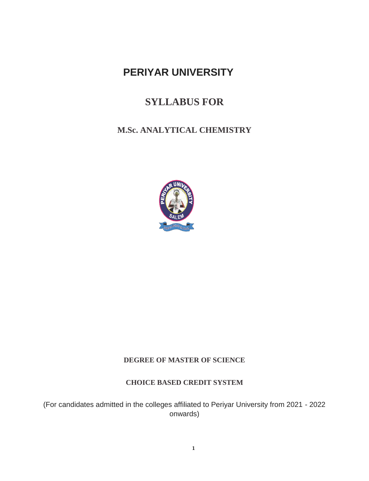# **PERIYAR UNIVERSITY**

# **SYLLABUS FOR**

# **M.Sc. ANALYTICAL CHEMISTRY**



# **DEGREE OF MASTER OF SCIENCE**

# **CHOICE BASED CREDIT SYSTEM**

(For candidates admitted in the colleges affiliated to Periyar University from 2021 - 2022 onwards)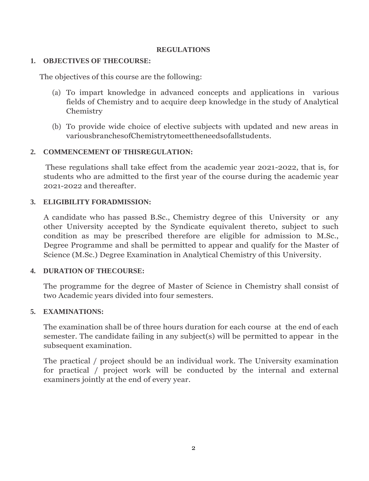## **REGULATIONS**

# **1. OBJECTIVES OF THECOURSE:**

The objectives of this course are the following:

- (a) To impart knowledge in advanced concepts and applications in various fields of Chemistry and to acquire deep knowledge in the study of Analytical Chemistry
- (b) To provide wide choice of elective subjects with updated and new areas in variousbranchesofChemistrytomeettheneedsofallstudents.

# **2. COMMENCEMENT OF THISREGULATION:**

These regulations shall take effect from the academic year 2021-2022, that is, for students who are admitted to the first year of the course during the academic year 2021-2022 and thereafter.

# **3. ELIGIBILITY FORADMISSION:**

A candidate who has passed B.Sc., Chemistry degree of this University or any other University accepted by the Syndicate equivalent thereto, subject to such condition as may be prescribed therefore are eligible for admission to M.Sc., Degree Programme and shall be permitted to appear and qualify for the Master of Science (M.Sc.) Degree Examination in Analytical Chemistry of this University.

# **4. DURATION OF THECOURSE:**

The programme for the degree of Master of Science in Chemistry shall consist of two Academic years divided into four semesters.

# **5. EXAMINATIONS:**

The examination shall be of three hours duration for each course at the end of each semester. The candidate failing in any subject(s) will be permitted to appear in the subsequent examination.

The practical / project should be an individual work. The University examination for practical / project work will be conducted by the internal and external examiners jointly at the end of every year.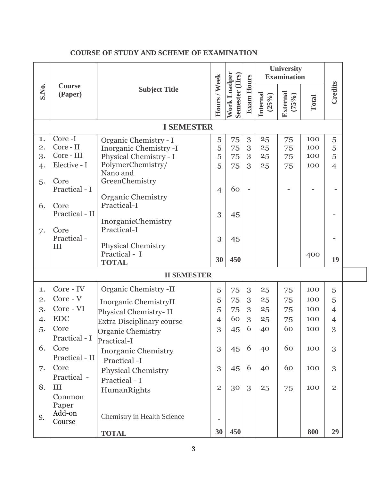| Work Loadper<br>Semester (Hrs)<br>Hours / Week<br><b>Exam Hours</b><br>S.No.<br>Course<br><b>Subject Title</b><br>Internal<br>(Paper) | <b>External</b><br>$(25\%)$<br>$(75\%)$ | Total | <b>Credits</b> |  |  |  |
|---------------------------------------------------------------------------------------------------------------------------------------|-----------------------------------------|-------|----------------|--|--|--|
|                                                                                                                                       |                                         |       |                |  |  |  |
| <b>I SEMESTER</b>                                                                                                                     |                                         |       |                |  |  |  |
| Core-I<br>$\mathfrak{B}$<br>1.<br>5<br>75<br>25<br>Organic Chemistry - I                                                              | 75                                      | 100   | 5              |  |  |  |
| Core - II<br>$\overline{2}$ .<br>75<br>5<br>$\sqrt{3}$<br>Inorganic Chemistry -I<br>25                                                | 75                                      | 100   | 5              |  |  |  |
| Core - III<br>3.<br>Physical Chemistry - I<br>5<br>3<br>75<br>25                                                                      | 75                                      | 100   | 5              |  |  |  |
| PolymerChemistry/<br>Elective - I<br>75<br>5<br>3<br>4.<br>25                                                                         | 75                                      | 100   | $\overline{4}$ |  |  |  |
| Nano and<br>GreenChemistry<br>Core                                                                                                    |                                         |       |                |  |  |  |
| 5.<br>Practical - I<br>60<br>$\overline{4}$                                                                                           |                                         |       |                |  |  |  |
| <b>Organic Chemistry</b>                                                                                                              |                                         |       |                |  |  |  |
| Practical-I<br>6.<br>Core                                                                                                             |                                         |       |                |  |  |  |
| Practical - II<br>3<br>45                                                                                                             |                                         |       |                |  |  |  |
| InorganicChemistry                                                                                                                    |                                         |       |                |  |  |  |
| Practical-I<br>Core<br>7.                                                                                                             |                                         |       |                |  |  |  |
| Practical-<br>3<br>45                                                                                                                 |                                         |       |                |  |  |  |
| Physical Chemistry<br>III<br>Practical - I                                                                                            |                                         |       |                |  |  |  |
| 450<br>30<br><b>TOTAL</b>                                                                                                             |                                         | 400   | 19             |  |  |  |
| <b>II SEMESTER</b>                                                                                                                    |                                         |       |                |  |  |  |
| Core - IV<br>Organic Chemistry -II<br>5<br>3<br>1.<br>75<br>25                                                                        | 75                                      | 100   | 5              |  |  |  |
| Core - V<br>2.<br>5<br>75<br>3<br>25                                                                                                  | 75                                      | 100   | 5              |  |  |  |
| Inorganic ChemistryII<br>Core - VI<br>3.<br>5<br>75<br>3<br>25                                                                        | 75                                      | 100   | $\overline{4}$ |  |  |  |
| Physical Chemistry-II<br><b>EDC</b><br>60<br>3<br>$\overline{4}$<br>25                                                                |                                         | 100   |                |  |  |  |
| 4.<br><b>Extra Disciplinary course</b><br>6<br>Core                                                                                   | 75<br>60                                |       | $\overline{4}$ |  |  |  |
| 3<br>45<br>5.<br>40<br>Organic Chemistry                                                                                              |                                         | 100   | 3              |  |  |  |
| Practical - I<br>Practical-I                                                                                                          |                                         |       |                |  |  |  |
| 6.<br>Core<br>6<br>3<br>40<br>45<br><b>Inorganic Chemistry</b>                                                                        | 60                                      | 100   | 3              |  |  |  |
| Practical - II<br>Practical -I                                                                                                        |                                         |       |                |  |  |  |
| Core<br>3<br>6<br>40<br>7.<br>45<br><b>Physical Chemistry</b>                                                                         | 60                                      | 100   | 3              |  |  |  |
| Practical -<br>Practical - I                                                                                                          |                                         |       |                |  |  |  |
| 8.<br>III<br>30<br>$\overline{2}$<br>3<br>25<br>HumanRights                                                                           | 75                                      | 100   | $\overline{2}$ |  |  |  |
| Common                                                                                                                                |                                         |       |                |  |  |  |
| Paper                                                                                                                                 |                                         |       |                |  |  |  |
| Add-on<br>Chemistry in Health Science<br>9.<br>Course                                                                                 |                                         |       |                |  |  |  |
| 450<br>30<br><b>TOTAL</b>                                                                                                             |                                         | 800   | 29             |  |  |  |

# **COURSE OF STUDY AND SCHEME OF EXAMINATION**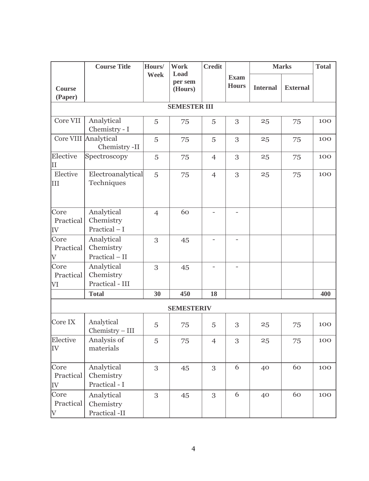|                                              | <b>Course Title</b>                        | Hours/         | <b>Work</b>                | <b>Credit</b>     |                             | <b>Marks</b>    |                 | <b>Total</b> |
|----------------------------------------------|--------------------------------------------|----------------|----------------------------|-------------------|-----------------------------|-----------------|-----------------|--------------|
| <b>Course</b><br>(Paper)                     |                                            | Week           | Load<br>per sem<br>(Hours) |                   | <b>Exam</b><br><b>Hours</b> | <b>Internal</b> | <b>External</b> |              |
|                                              |                                            |                | <b>SEMESTER III</b>        |                   |                             |                 |                 |              |
| Core VII                                     | Analytical<br>Chemistry - I                | 5              | 75                         | 5                 | 3                           | 25              | 75              | 100          |
|                                              | Core VIII Analytical<br>Chemistry -II      | 5              | 75                         | 5                 | 3                           | 25              | 75              | 100          |
| Elective<br>IΙ                               | Spectroscopy                               | 5              | 75                         | $\overline{4}$    | 3                           | 25              | 75              | 100          |
| Elective<br>III                              | Electroanalytical<br>Techniques            | 5              | 75                         | $\overline{4}$    | 3                           | 25              | 75              | 100          |
| Core<br>Practical<br>IV                      | Analytical<br>Chemistry<br>Practical $- I$ | $\overline{4}$ | 60                         |                   |                             |                 |                 |              |
| Core<br>Practical<br>$\overline{\mathrm{V}}$ | Analytical<br>Chemistry<br>Practical - II  | 3              | 45                         |                   |                             |                 |                 |              |
| Core<br>Practical<br>VI                      | Analytical<br>Chemistry<br>Practical - III | 3              | 45                         | $\qquad \qquad -$ | $\overline{\phantom{a}}$    |                 |                 |              |
|                                              | <b>Total</b>                               | 30             | 450                        | 18                |                             |                 |                 | 400          |
|                                              |                                            |                | <b>SEMESTERIV</b>          |                   |                             |                 |                 |              |
| Core IX                                      | Analytical<br>$Chemistry - III$            | 5              | 75                         | 5                 | 3                           | 25              | 75              | 100          |
| Elective<br>IV                               | Analysis of<br>materials                   | 5              | 75                         | $\overline{4}$    | 3                           | 25              | 75              | 100          |
| Core<br>Practical<br>IV                      | Analytical<br>Chemistry<br>Practical - I   | 3              | 45                         | 3                 | 6                           | 40              | 60              | 100          |
| Core<br>Practical<br>$\rm V$                 | Analytical<br>Chemistry<br>Practical -II   | 3              | 45                         | 3                 | 6                           | 40              | 60              | 100          |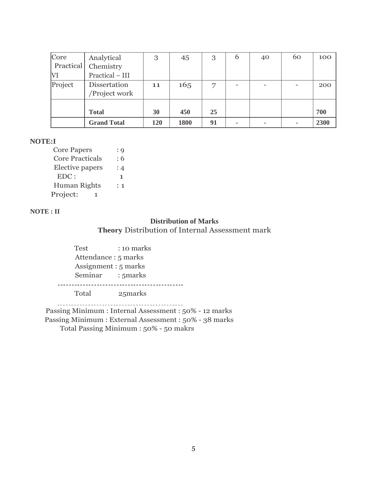| Core             | Analytical                    | 3   | 45   | 3              | 6 | 40 | 60 | 100  |
|------------------|-------------------------------|-----|------|----------------|---|----|----|------|
| <b>Practical</b> | Chemistry                     |     |      |                |   |    |    |      |
| VI               | Practical - III               |     |      |                |   |    |    |      |
| Project          | Dissertation<br>/Project work | 11  | 165  | $\overline{ }$ |   |    | -  | 200  |
|                  |                               |     |      |                |   |    |    |      |
|                  | <b>Total</b>                  | 30  | 450  | 25             |   |    |    | 700  |
|                  | <b>Grand Total</b>            | 120 | 1800 | 91             |   |    | ۰  | 2300 |

#### **NOTE:I**

Core Papers : 9 Core Practicals : 6 Elective papers : 4  $EDC:$  1 Human Rights : 1 Project: 1

#### **NOTE : II**

# **Distribution of Marks Theory** Distribution of Internal Assessment mark

Test : 10 marks Attendance : 5 marks Assignment : 5 marks Seminar : 5marks 

Total 25marks

Passing Minimum : Internal Assessment : 50% - 12 marks Passing Minimum : External Assessment : 50% - 38 marks Total Passing Minimum : 50% - 50 makrs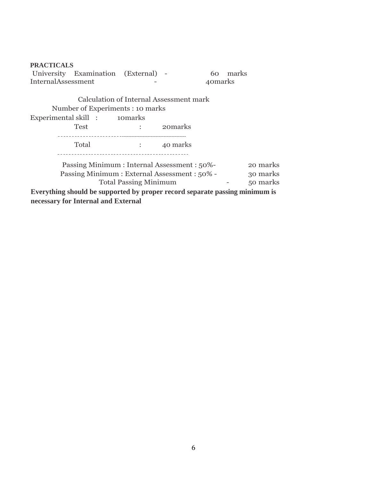| <b>PRACTICALS</b>  |                                                                             |                              |                                                                                                                 |          |          |          |
|--------------------|-----------------------------------------------------------------------------|------------------------------|-----------------------------------------------------------------------------------------------------------------|----------|----------|----------|
|                    | University Examination (External) -                                         |                              |                                                                                                                 |          | 60 marks |          |
| InternalAssessment |                                                                             |                              |                                                                                                                 | 40 marks |          |          |
|                    | Calculation of Internal Assessment mark                                     |                              |                                                                                                                 |          |          |          |
|                    | Number of Experiments : 10 marks                                            |                              |                                                                                                                 |          |          |          |
|                    | Experimental skill : 10 narks                                               |                              |                                                                                                                 |          |          |          |
|                    | Test                                                                        |                              | : 20 and 20 and 20 and 20 and 20 and 20 and 20 and 20 and 20 and 20 and 20 and 20 and 20 and 20 and 20 and 20 a |          |          |          |
|                    | Total                                                                       | $\sim$ 40 marks              |                                                                                                                 |          |          |          |
|                    | Passing Minimum : Internal Assessment : 50%-                                |                              |                                                                                                                 |          |          | 20 marks |
|                    | Passing Minimum: External Assessment: 50% -                                 |                              |                                                                                                                 |          |          | 30 marks |
|                    |                                                                             | <b>Total Passing Minimum</b> |                                                                                                                 |          |          | 50 marks |
|                    | Everything should be supported by proper record separate passing minimum is |                              |                                                                                                                 |          |          |          |
|                    | necessary for Internal and External                                         |                              |                                                                                                                 |          |          |          |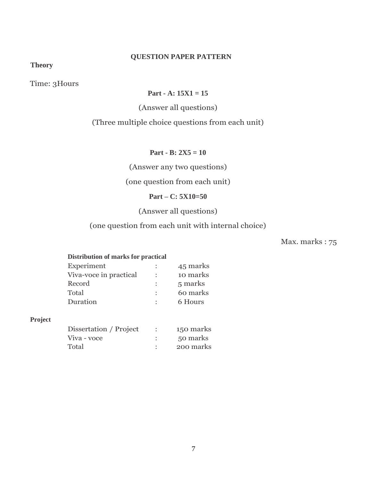# **QUESTION PAPER PATTERN**

**Theory**

Time: 3Hours

# **Part - A: 15X1 = 15**

(Answer all questions)

# (Three multiple choice questions from each unit)

**Part - B: 2X5 = 10**

(Answer any two questions)

# (one question from each unit)

#### **Part – C: 5X10=50**

# (Answer all questions)

# (one question from each unit with internal choice)

Max. marks : 75

#### **Distribution of marks for practical**

|                      | 45 marks |
|----------------------|----------|
| ÷                    | 10 marks |
| $\ddot{\phantom{a}}$ | 5 marks  |
| $\ddot{\phantom{a}}$ | 60 marks |
| $\ddot{\phantom{0}}$ | 6 Hours  |
|                      |          |

#### **Project**

| Dissertation / Project | 150 marks |
|------------------------|-----------|
| Viva - voce            | 50 marks  |
| Total                  | 200 marks |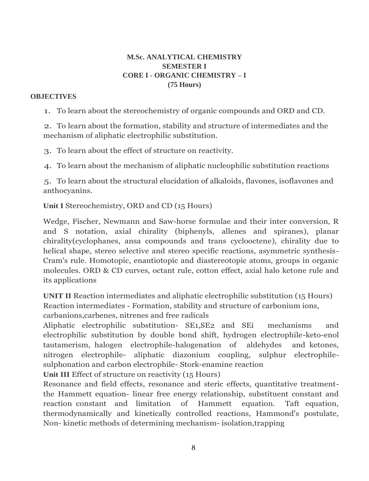# **M.Sc. ANALYTICAL CHEMISTRY SEMESTER I CORE I - ORGANIC CHEMISTRY – I (75 Hours)**

## **OBJECTIVES**

1. To learn about the stereochemistry of organic compounds and ORD and CD.

2. To learn about the formation, stability and structure of intermediates and the mechanism of aliphatic electrophilic substitution.

3. To learn about the effect of structure on reactivity.

4. To learn about the mechanism of aliphatic nucleophilic substitution reactions

5. To learn about the structural elucidation of alkaloids, flavones, isoflavones and anthocyanins.

**Unit I** Stereochemistry, ORD and CD (15 Hours)

Wedge, Fischer, Newmann and Saw-horse formulae and their inter conversion, R and S notation, axial chirality (biphenyls, allenes and spiranes), planar chirality(cyclophanes, ansa compounds and trans cyclooctene), chirality due to helical shape, stereo selective and stereo specific reactions, asymmetric synthesis-Cram's rule. Homotopic, enantiotopic and diastereotopic atoms, groups in organic molecules. ORD & CD curves, octant rule, cotton effect, axial halo ketone rule and its applications

**UNIT II** Reaction intermediates and aliphatic electrophilic substitution (15 Hours) Reaction intermediates - Formation, stability and structure of carbonium ions, carbanions,carbenes, nitrenes and free radicals

Aliphatic electrophilic substitution- SE1,SE2 and SEi mechanisms and electrophilic substitution by double bond shift, hydrogen electrophile-keto-enol tautamerism, halogen electrophile-halogenation of aldehydes and ketones, nitrogen electrophile- aliphatic diazonium coupling, sulphur electrophilesulphonation and carbon electrophile- Stork-enamine reaction

**Unit III** Effect of structure on reactivity (15 Hours)

Resonance and field effects, resonance and steric effects, quantitative treatmentthe Hammett equation- linear free energy relationship, substituent constant and reaction constant and limitation of Hammett equation. Taft equation, thermodynamically and kinetically controlled reactions, Hammond's postulate, Non- kinetic methods of determining mechanism- isolation,trapping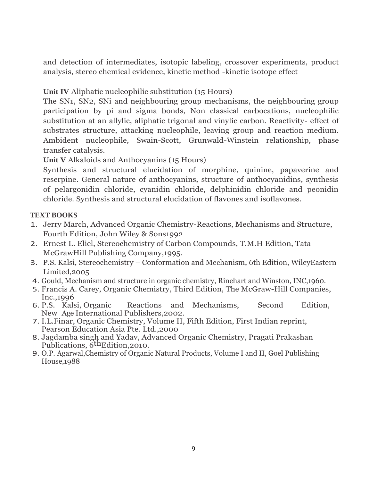and detection of intermediates, isotopic labeling, crossover experiments, product analysis, stereo chemical evidence, kinetic method -kinetic isotope effect

**Unit IV** Aliphatic nucleophilic substitution (15 Hours)

The SN1, SN2, SNi and neighbouring group mechanisms, the neighbouring group participation by pi and sigma bonds, Non classical carbocations, nucleophilic substitution at an allylic, aliphatic trigonal and vinylic carbon. Reactivity- effect of substrates structure, attacking nucleophile, leaving group and reaction medium. Ambident nucleophile, Swain-Scott, Grunwald-Winstein relationship, phase transfer catalysis.

**Unit V** Alkaloids and Anthocyanins (15 Hours)

Synthesis and structural elucidation of morphine, quinine, papaverine and reserpine. General nature of anthocyanins, structure of anthocyanidins, synthesis of pelargonidin chloride, cyanidin chloride, delphinidin chloride and peonidin chloride. Synthesis and structural elucidation of flavones and isoflavones.

# **TEXT BOOKS**

- 1. Jerry March, Advanced Organic Chemistry-Reactions, Mechanisms and Structure, Fourth Edition, John Wiley & Sons1992
- 2. Ernest L. Eliel, Stereochemistry of Carbon Compounds, T.M.H Edition, Tata McGrawHill Publishing Company,1995.
- 3. P.S. Kalsi, Stereochemistry Conformation and Mechanism, 6th Edition, WileyEastern Limited,2005
- 4. Gould, Mechanism and structure in organic chemistry, Rinehart and Winston, INC,1960.
- 5. Francis A. Carey, Organic Chemistry, Third Edition, The McGraw-Hill Companies, Inc.,1996
- 6. P.S. Kalsi, Organic Reactions and Mechanisms, Second Edition, New Age International Publishers,2002.
- 7. I.L.Finar, Organic Chemistry, Volume II, Fifth Edition, First Indian reprint, Pearson Education Asia Pte. Ltd.,2000
- 8. Jagdamba singh and Yadav, Advanced Organic Chemistry, Pragati Prakashan Publications, 6<sup>th</sup>Edition, 2010.
- 9. O.P. Agarwal,Chemistry of Organic Natural Products, Volume I and II, Goel Publishing House,1988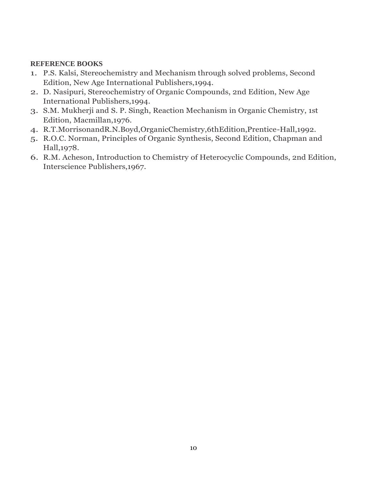- 1. P.S. Kalsi, Stereochemistry and Mechanism through solved problems, Second Edition, New Age International Publishers,1994.
- 2. D. Nasipuri, Stereochemistry of Organic Compounds, 2nd Edition, New Age International Publishers,1994.
- 3. S.M. Mukherji and S. P. Singh, Reaction Mechanism in Organic Chemistry, 1st Edition, Macmillan,1976.
- 4. R.T.MorrisonandR.N.Boyd,OrganicChemistry,6thEdition,Prentice-Hall,1992.
- 5. R.O.C. Norman, Principles of Organic Synthesis, Second Edition, Chapman and Hall,1978.
- 6. R.M. Acheson, Introduction to Chemistry of Heterocyclic Compounds, 2nd Edition, Interscience Publishers,1967.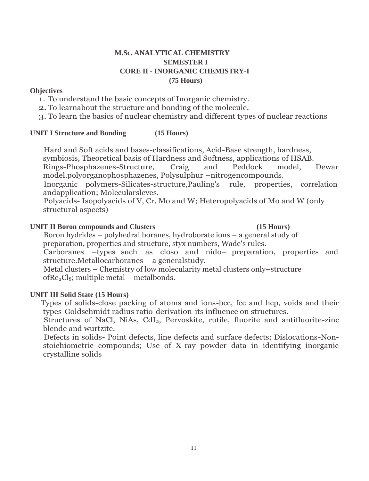# **M.Sc. ANALYTICAL CHEMISTRY SEMESTER I CORE II - INORGANIC CHEMISTRY-I (75 Hours)**

### **Objectives**

1. To understand the basic concepts of Inorganic chemistry.

2.To learnabout the structure and bonding of the molecule.

3.To learn the basics of nuclear chemistry and different types of nuclear reactions

#### **UNIT I Structure and Bonding (15 Hours)**

Hard and Soft acids and bases-classifications, Acid-Base strength, hardness, symbiosis, Theoretical basis of Hardness and Softness, applications of HSAB.

Rings-Phosphazenes-Structure, Craig and Peddock model, Dewar model,polyorganophosphazenes, Polysulphur –nitrogencompounds.

Inorganic polymers-Silicates-structure,Pauling's rule, properties, correlation andapplication; Molecularsleves.

Polyacids- Isopolyacids of V, Cr, Mo and W; Heteropolyacids of Mo and W (only structural aspects)

### **UNIT II Boron compounds and Clusters (15 Hours)**

Boron hydrides – polyhedral boranes, hydroborate ions – a general study of preparation, properties and structure, styx numbers, Wade's rules.

Carboranes –types such as closo and nido– preparation, properties and structure.Metallocarboranes – a generalstudy.

Metal clusters – Chemistry of low molecularity metal clusters only–structure of $\text{Re}_2\text{Cl}_8$ ; multiple metal – metalbonds.

# **UNIT III Solid State (15 Hours)**

Types of solids-close packing of atoms and ions-bcc, fcc and hcp, voids and their types-Goldschmidt radius ratio-derivation-its influence on structures.

Structures of NaCl, NiAs, CdI<sub>2</sub>, Pervoskite, rutile, fluorite and antifluorite-zinc blende and wurtzite.

Defects in solids- Point defects, line defects and surface defects; Dislocations-Nonstoichiometric compounds; Use of X-ray powder data in identifying inorganic crystalline solids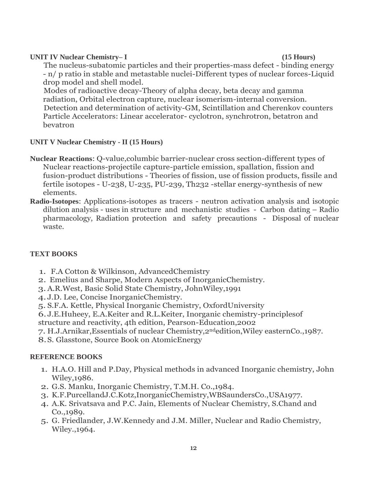### **UNIT IV Nuclear Chemistry– I (15 Hours)**

The nucleus-subatomic particles and their properties-mass defect - binding energy - n/ p ratio in stable and metastable nuclei-Different types of nuclear forces-Liquid drop model and shell model.

Modes of radioactive decay-Theory of alpha decay, beta decay and gamma radiation, Orbital electron capture, nuclear isomerism-internal conversion. Detection and determination of activity-GM, Scintillation and Cherenkov counters Particle Accelerators: Linear accelerator- cyclotron, synchrotron, betatron and bevatron

# **UNIT V Nuclear Chemistry - II (15 Hours)**

- **Nuclear Reactions**: Q-value,columbic barrier-nuclear cross section-different types of Nuclear reactions-projectile capture-particle emission, spallation, fission and fusion-product distributions - Theories of fission, use of fission products, fissile and fertile isotopes - U-238, U-235, PU-239, Th232 -stellar energy-synthesis of new elements.
- **Radio-Isotopes**: Applications-isotopes as tracers neutron activation analysis and isotopic dilution analysis - uses in structure and mechanistic studies - Carbon dating – Radio pharmacology, Radiation protection and safety precautions - Disposal of nuclear waste.

# **TEXT BOOKS**

- 1. F.A Cotton & Wilkinson, AdvancedChemistry
- 2. Emelius and Sharpe, Modern Aspects of InorganicChemistry.
- 3.A.R.West, Basic Solid State Chemistry, JohnWiley,1991
- 4. J.D. Lee, Concise InorganicChemistry.
- 5. S.F.A. Kettle, Physical Inorganic Chemistry, OxfordUniversity
- 6. J.E.Huheey, E.A.Keiter and R.L.Keiter, Inorganic chemistry-principlesof structure and reactivity, 4th edition, Pearson-Education,2002
- 7. H.J.Arnikar,Essentials of nuclear Chemistry,2ndedition,Wiley easternCo.,1987.
- 8.S. Glasstone, Source Book on AtomicEnergy

- 1. H.A.O. Hill and P.Day, Physical methods in advanced Inorganic chemistry, John Wiley,1986.
- 2. G.S. Manku, Inorganic Chemistry, T.M.H. Co.,1984.
- 3. K.F.PurcellandJ.C.Kotz,InorganicChemistry,WBSaundersCo.,USA1977.
- 4. A.K. Srivatsava and P.C. Jain, Elements of Nuclear Chemistry, S.Chand and Co.,1989.
- 5. G. Friedlander, J.W.Kennedy and J.M. Miller, Nuclear and Radio Chemistry, Wiley.,1964.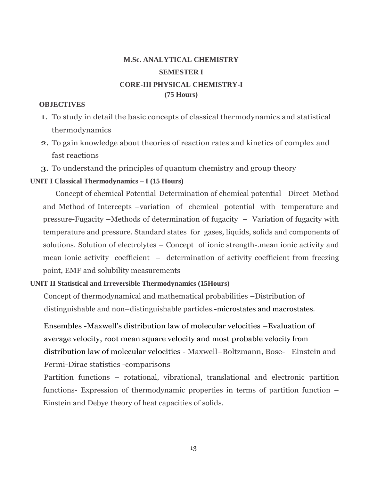# **M.Sc. ANALYTICAL CHEMISTRY SEMESTER I CORE-III PHYSICAL CHEMISTRY-I (75 Hours)**

#### **OBJECTIVES**

- 1. To study in detail the basic concepts of classical thermodynamics and statistical thermodynamics
- 2. To gain knowledge about theories of reaction rates and kinetics of complex and fast reactions
- 3. To understand the principles of quantum chemistry and group theory

#### **UNIT I Classical Thermodynamics – I (15 Hours)**

Concept of chemical Potential-Determination of chemical potential -Direct Method and Method of Intercepts –variation of chemical potential with temperature and pressure-Fugacity –Methods of determination of fugacity – Variation of fugacity with temperature and pressure. Standard states for gases, liquids, solids and components of solutions. Solution of electrolytes – Concept of ionic strength-.mean ionic activity and mean ionic activity coefficient – determination of activity coefficient from freezing point, EMF and solubility measurements

#### **UNIT II Statistical and Irreversible Thermodynamics (15Hours)**

Concept of thermodynamical and mathematical probabilities –Distribution of distinguishable and non–distinguishable particles.-microstates and macrostates.

Ensembles -Maxwell's distribution law of molecular velocities –Evaluation of average velocity, root mean square velocity and most probable velocity from distribution law of molecular velocities - Maxwell–Boltzmann, Bose- Einstein and Fermi-Dirac statistics -comparisons

Partition functions – rotational, vibrational, translational and electronic partition functions- Expression of thermodynamic properties in terms of partition function – Einstein and Debye theory of heat capacities of solids.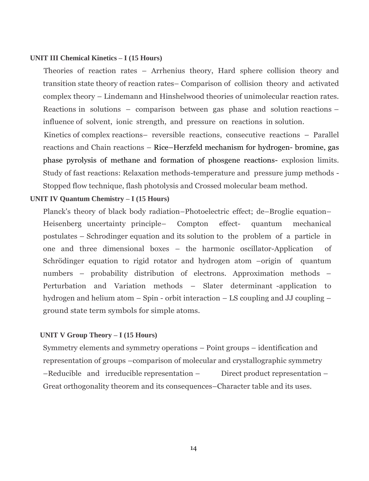#### **UNIT III Chemical Kinetics – I (15 Hours)**

Theories of reaction rates – Arrhenius theory, Hard sphere collision theory and transition state theory of reaction rates– Comparison of collision theory and activated complex theory – Lindemann and Hinshelwood theories of unimolecular reaction rates. Reactions in solutions – comparison between gas phase and solution reactions – influence of solvent, ionic strength, and pressure on reactions in solution.

Kinetics of complex reactions– reversible reactions, consecutive reactions – Parallel reactions and Chain reactions – Rice–Herzfeld mechanism for hydrogen- bromine, gas phase pyrolysis of methane and formation of phosgene reactions- explosion limits. Study of fast reactions: Relaxation methods-temperature and pressure jump methods - Stopped flow technique, flash photolysis and Crossed molecular beam method.

#### **UNIT IV Quantum Chemistry – I (15 Hours)**

Planck's theory of black body radiation–Photoelectric effect; de–Broglie equation– Heisenberg uncertainty principle– Compton effect- quantum mechanical postulates – Schrodinger equation and its solution to the problem of a particle in one and three dimensional boxes – the harmonic oscillator-Application of Schrödinger equation to rigid rotator and hydrogen atom –origin of quantum numbers – probability distribution of electrons. Approximation methods – Perturbation and Variation methods – Slater determinant -application to hydrogen and helium atom – Spin - orbit interaction – LS coupling and JJ coupling – ground state term symbols for simple atoms.

#### **UNIT V Group Theory – I (15 Hours)**

Symmetry elements and symmetry operations – Point groups – identification and representation of groups –comparison of molecular and crystallographic symmetry –Reducible and irreducible representation – Direct product representation – Great orthogonality theorem and its consequences–Character table and its uses.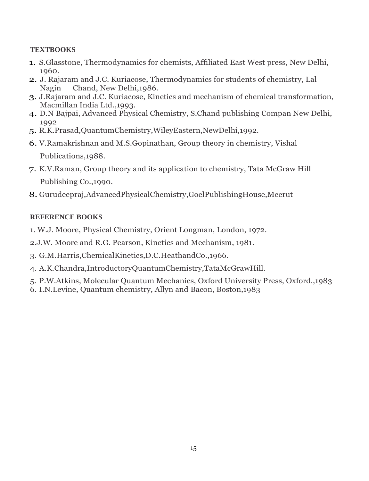# **TEXTBOOKS**

- 1. S.Glasstone, Thermodynamics for chemists, Affiliated East West press, New Delhi, 1960.
- 2. J. Rajaram and J.C. Kuriacose, Thermodynamics for students of chemistry, Lal Nagin Chand, New Delhi,1986.
- 3. J.Rajaram and J.C. Kuriacose, Kinetics and mechanism of chemical transformation, Macmillan India Ltd.,1993.
- 4. D.N Bajpai, Advanced Physical Chemistry, S.Chand publishing Compan New Delhi, 1992
- 5. R.K.Prasad,QuantumChemistry,WileyEastern,NewDelhi,1992.
- 6. V.Ramakrishnan and M.S.Gopinathan, Group theory in chemistry, Vishal Publications,1988.
- 7. K.V.Raman, Group theory and its application to chemistry, Tata McGraw Hill Publishing Co.,1990.
- 8. Gurudeepraj,AdvancedPhysicalChemistry,GoelPublishingHouse,Meerut

- 1. W.J. Moore, Physical Chemistry, Orient Longman, London, 1972.
- 2.J.W. Moore and R.G. Pearson, Kinetics and Mechanism, 1981.
- 3. G.M.Harris,ChemicalKinetics,D.C.HeathandCo.,1966.
- 4. A.K.Chandra,IntroductoryQuantumChemistry,TataMcGrawHill.
- 5. P.W.Atkins, Molecular Quantum Mechanics, Oxford University Press, Oxford.,1983
- 6. I.N.Levine, Quantum chemistry, Allyn and Bacon, Boston,1983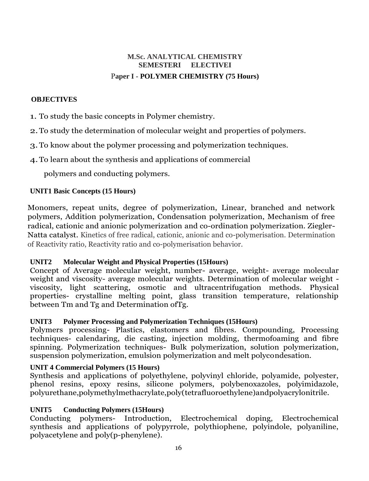# **M.Sc. ANALYTICAL CHEMISTRY SEMESTERI ELECTIVEI** P**aper I - POLYMER CHEMISTRY (75 Hours)**

# **OBJECTIVES**

1. To study the basic concepts in Polymer chemistry.

2.To study the determination of molecular weight and properties of polymers.

3.To know about the polymer processing and polymerization techniques.

4.To learn about the synthesis and applications of commercial

polymers and conducting polymers.

# **UNIT1 Basic Concepts (15 Hours)**

Monomers, repeat units, degree of polymerization, Linear, branched and network polymers, Addition polymerization, Condensation polymerization, Mechanism of free radical, cationic and anionic polymerization and co-ordination polymerization. Ziegler-Natta catalyst. Kinetics of free radical, cationic, anionic and co-polymerisation. Determination of Reactivity ratio, Reactivity ratio and co-polymerisation behavior.

# **UNIT2 Molecular Weight and Physical Properties (15Hours)**

Concept of Average molecular weight, number- average, weight- average molecular weight and viscosity- average molecular weights. Determination of molecular weight viscosity, light scattering, osmotic and ultracentrifugation methods. Physical properties- crystalline melting point, glass transition temperature, relationship between Tm and Tg and Determination ofTg.

# **UNIT3 Polymer Processing and Polymerization Techniques (15Hours)**

Polymers processing- Plastics, elastomers and fibres. Compounding, Processing techniques- calendaring, die casting, injection molding, thermofoaming and fibre spinning. Polymerization techniques- Bulk polymerization, solution polymerization, suspension polymerization, emulsion polymerization and melt polycondesation.

# **UNIT 4 Commercial Polymers (15 Hours)**

Synthesis and applications of polyethylene, polyvinyl chloride, polyamide, polyester, phenol resins, epoxy resins, silicone polymers, polybenoxazoles, polyimidazole, polyurethane,polymethylmethacrylate,poly(tetrafluoroethylene)andpolyacrylonitrile.

# **UNIT5 Conducting Polymers (15Hours)**

Conducting polymers- Introduction, Electrochemical doping, Electrochemical synthesis and applications of polypyrrole, polythiophene, polyindole, polyaniline, polyacetylene and poly(p-phenylene).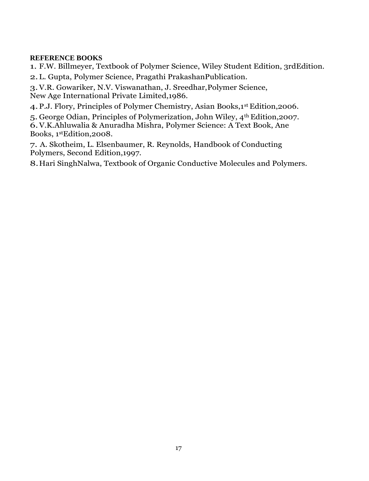# **REFERENCE BOOKS**

1. F.W. Billmeyer, Textbook of Polymer Science, Wiley Student Edition, 3rdEdition.

2.L. Gupta, Polymer Science, Pragathi PrakashanPublication.

3.V.R. Gowariker, N.V. Viswanathan, J. Sreedhar,Polymer Science, New Age International Private Limited,1986.

4.P.J. Flory, Principles of Polymer Chemistry, Asian Books,1st Edition,2006.

5. George Odian, Principles of Polymerization, John Wiley, 4th Edition,2007. 6.V.K.Ahluwalia & Anuradha Mishra, Polymer Science: A Text Book, Ane Books, 1stEdition,2008.

7. A. Skotheim, L. Elsenbaumer, R. Reynolds, Handbook of Conducting Polymers, Second Edition,1997.

8.Hari SinghNalwa, Textbook of Organic Conductive Molecules and Polymers.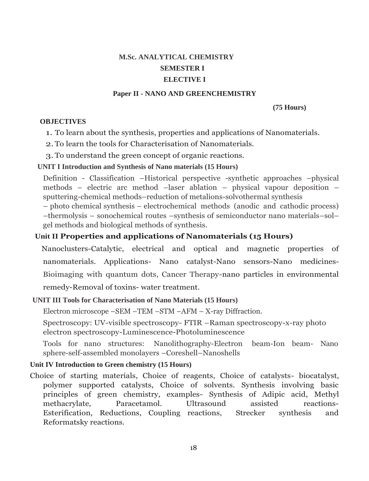# **M.Sc. ANALYTICAL CHEMISTRY SEMESTER I ELECTIVE I**

#### **Paper II - NANO AND GREENCHEMISTRY**

**(75 Hours)**

# **OBJECTIVES**

1. To learn about the synthesis, properties and applications of Nanomaterials.

2.To learn the tools for Characterisation of Nanomaterials.

3.To understand the green concept of organic reactions.

# **UNIT I Introduction and Synthesis of Nano materials (15 Hours)**

Definition - Classification –Historical perspective -synthetic approaches –physical methods – electric arc method –laser ablation – physical vapour deposition – sputtering-chemical methods–reduction of metalions-solvothermal synthesis

– photo chemical synthesis – electrochemical methods (anodic and cathodic process) –thermolysis – sonochemical routes –synthesis of semiconductor nano materials–sol– gel methods and biological methods of synthesis.

# **Unit II Properties and applications of Nanomaterials (15 Hours)**

Nanoclusters-Catalytic, electrical and optical and magnetic properties of nanomaterials. Applications- Nano catalyst-Nano sensors-Nano medicines-Bioimaging with quantum dots, Cancer Therapy-nano particles in environmental remedy-Removal of toxins- water treatment.

# **UNIT III Tools for Characterisation of Nano Materials (15 Hours)**

Electron microscope –SEM –TEM –STM –AFM – X-ray Diffraction.

Spectroscopy: UV-visible spectroscopy- FTIR –Raman spectroscopy-x-ray photo electron spectroscopy-Luminescence-Photoluminescence

Tools for nano structures: Nanolithography-Electron beam-Ion beam- Nano sphere-self-assembled monolayers –Coreshell–Nanoshells

# **Unit IV Introduction to Green chemistry (15 Hours)**

Choice of starting materials, Choice of reagents, Choice of catalysts- biocatalyst, polymer supported catalysts, Choice of solvents. Synthesis involving basic principles of green chemistry, examples- Synthesis of Adipic acid, Methyl methacrylate, Paracetamol. Ultrasound assisted reactions-Esterification, Reductions, Coupling reactions, Strecker synthesis and Reformatsky reactions.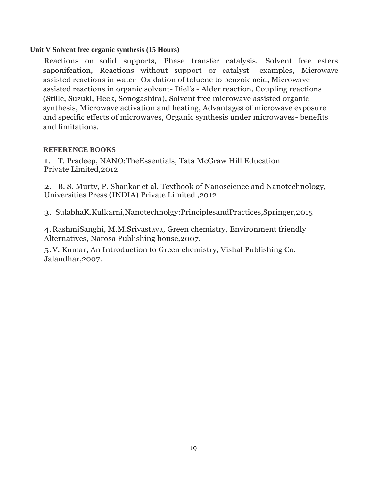# **Unit V Solvent free organic synthesis (15 Hours)**

Reactions on solid supports, Phase transfer catalysis, Solvent free esters saponifcation, Reactions without support or catalyst- examples, Microwave assisted reactions in water- Oxidation of toluene to benzoic acid, Microwave assisted reactions in organic solvent- Diel's - Alder reaction, Coupling reactions (Stille, Suzuki, Heck, Sonogashira), Solvent free microwave assisted organic synthesis, Microwave activation and heating, Advantages of microwave exposure and specific effects of microwaves, Organic synthesis under microwaves- benefits and limitations.

# **REFERENCE BOOKS**

1. T. Pradeep, NANO:TheEssentials, Tata McGraw Hill Education Private Limited,2012

2. B. S. Murty, P. Shankar et al, Textbook of Nanoscience and Nanotechnology, Universities Press (INDIA) Private Limited ,2012

3. SulabhaK.Kulkarni,Nanotechnolgy:PrinciplesandPractices,Springer,2015

4.RashmiSanghi, M.M.Srivastava, Green chemistry, Environment friendly Alternatives, Narosa Publishing house,2007.

5.V. Kumar, An Introduction to Green chemistry, Vishal Publishing Co. Jalandhar,2007.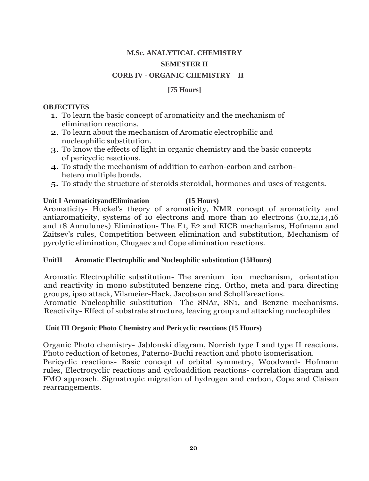# **M.Sc. ANALYTICAL CHEMISTRY SEMESTER II CORE IV - ORGANIC CHEMISTRY – II**

# **[75 Hours]**

## **OBJECTIVES**

- 1. To learn the basic concept of aromaticity and the mechanism of elimination reactions.
- 2. To learn about the mechanism of Aromatic electrophilic and nucleophilic substitution.
- 3. To know the effects of light in organic chemistry and the basic concepts of pericyclic reactions.
- 4. To study the mechanism of addition to carbon-carbon and carbonhetero multiple bonds.
- 5. To study the structure of steroids steroidal, hormones and uses of reagents.

# **Unit I AromaticityandElimination (15 Hours)**

Aromaticity- Huckel's theory of aromaticity, NMR concept of aromaticity and antiaromaticity, systems of 10 electrons and more than 10 electrons (10,12,14,16 and 18 Annulunes) Elimination- The E1, E2 and EICB mechanisms, Hofmann and Zaitsev's rules, Competition between elimination and substitution, Mechanism of pyrolytic elimination, Chugaev and Cope elimination reactions.

# **UnitII Aromatic Electrophilic and Nucleophilic substitution (15Hours)**

Aromatic Electrophilic substitution- The arenium ion mechanism, orientation and reactivity in mono substituted benzene ring. Ortho, meta and para directing groups, ipso attack, Vilsmeier-Hack, Jacobson and Scholl'sreactions.

Aromatic Nucleophilic substitution- The SNAr, SN1, and Benzne mechanisms. Reactivity- Effect of substrate structure, leaving group and attacking nucleophiles

# **Unit III Organic Photo Chemistry and Pericyclic reactions (15 Hours)**

Organic Photo chemistry- Jablonski diagram, Norrish type I and type II reactions, Photo reduction of ketones, Paterno-Buchi reaction and photo isomerisation. Pericyclic reactions- Basic concept of orbital symmetry, Woodward- Hofmann rules, Electrocyclic reactions and cycloaddition reactions- correlation diagram and FMO approach. Sigmatropic migration of hydrogen and carbon, Cope and Claisen rearrangements.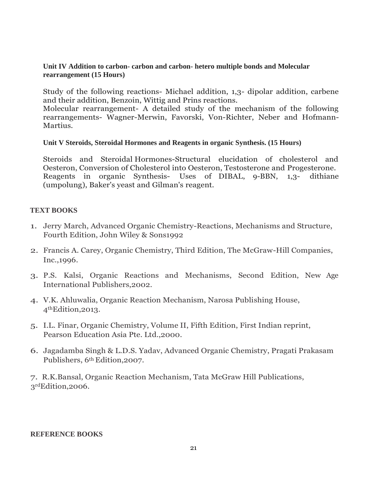### **Unit IV Addition to carbon- carbon and carbon- hetero multiple bonds and Molecular rearrangement (15 Hours)**

Study of the following reactions- Michael addition, 1,3- dipolar addition, carbene and their addition, Benzoin, Wittig and Prins reactions.

Molecular rearrangement- A detailed study of the mechanism of the following rearrangements- Wagner-Merwin, Favorski, Von-Richter, Neber and Hofmann-Martius.

### **Unit V Steroids, Steroidal Hormones and Reagents in organic Synthesis. (15 Hours)**

Steroids and Steroidal Hormones-Structural elucidation of cholesterol and Oesteron, Conversion of Cholesterol into Oesteron, Testosterone and Progesterone. Reagents in organic Synthesis- Uses of DIBAL, 9-BBN, 1,3- dithiane (umpolung), Baker's yeast and Gilman's reagent.

### **TEXT BOOKS**

- 1. Jerry March, Advanced Organic Chemistry-Reactions, Mechanisms and Structure, Fourth Edition, John Wiley & Sons1992
- 2. Francis A. Carey, Organic Chemistry, Third Edition, The McGraw-Hill Companies, Inc.,1996.
- 3. P.S. Kalsi, Organic Reactions and Mechanisms, Second Edition, New Age International Publishers,2002.
- 4. V.K. Ahluwalia, Organic Reaction Mechanism, Narosa Publishing House, 4thEdition,2013.
- 5. I.L. Finar, Organic Chemistry, Volume II, Fifth Edition, First Indian reprint, Pearson Education Asia Pte. Ltd.,2000.
- 6. Jagadamba Singh & L.D.S. Yadav, Advanced Organic Chemistry, Pragati Prakasam Publishers, 6th Edition,2007.

7. R.K.Bansal, Organic Reaction Mechanism, Tata McGraw Hill Publications, 3rdEdition, 2006.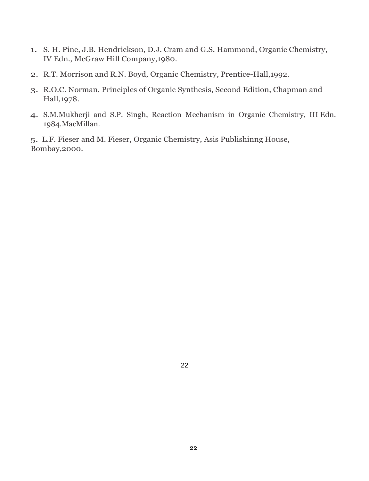- 1. S. H. Pine, J.B. Hendrickson, D.J. Cram and G.S. Hammond, Organic Chemistry, IV Edn., McGraw Hill Company,1980.
- 2. R.T. Morrison and R.N. Boyd, Organic Chemistry, Prentice-Hall,1992.
- 3. R.O.C. Norman, Principles of Organic Synthesis, Second Edition, Chapman and Hall,1978.
- 4. S.M.Mukherji and S.P. Singh, Reaction Mechanism in Organic Chemistry, III Edn. 1984.MacMillan.

5. L.F. Fieser and M. Fieser, Organic Chemistry, Asis Publishinng House, Bombay,2000.

22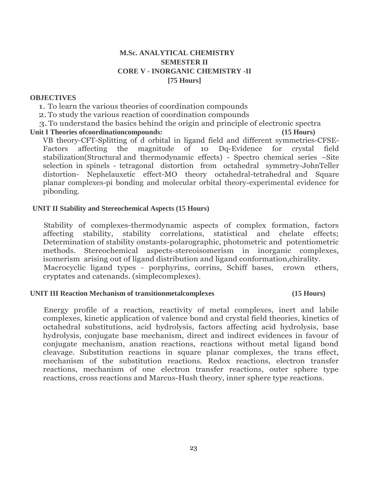# **M.Sc. ANALYTICAL CHEMISTRY SEMESTER II CORE V - INORGANIC CHEMISTRY -II [75 Hours]**

#### **OBJECTIVES**

1. To learn the various theories of coordination compounds

2.To study the various reaction of coordination compounds

3.To understand the basics behind the origin and principle of electronic spectra

### **Unit I Theories ofcoordinationcompounds: (15 Hours)**

VB theory-CFT-Splitting of d orbital in ligand field and different symmetries-CFSE-Factors affecting the magnitude of 10 Dq-Evidence for crystal field stabilization(Structural and thermodynamic effects) - Spectro chemical series –Site selection in spinels - tetragonal distortion from octahedral symmetry-JohnTeller distortion- Nephelauxetic effect-MO theory octahedral-tetrahedral and Square planar complexes-pi bonding and molecular orbital theory-experimental evidence for pibonding.

# **UNIT II Stability and Stereochemical Aspects (15 Hours)**

Stability of complexes-thermodynamic aspects of complex formation, factors affecting stability, stability correlations, statistical and chelate effects; Determination of stability onstants-polarographic, photometric and potentiometric methods. Stereochemical aspects-stereoisomerism in inorganic complexes, isomerism arising out of ligand distribution and ligand conformation,chirality. Macrocyclic ligand types - porphyrins, corrins, Schiff bases, crown ethers, cryptates and catenands. (simplecomplexes).

#### **UNIT III Reaction Mechanism of transitionmetalcomplexes (15 Hours)**

Energy profile of a reaction, reactivity of metal complexes, inert and labile complexes, kinetic application of valence bond and crystal field theories, kinetics of octahedral substitutions, acid hydrolysis, factors affecting acid hydrolysis, base hydrolysis, conjugate base mechanism, direct and indirect evidences in favour of conjugate mechanism, anation reactions, reactions without metal ligand bond cleavage. Substitution reactions in square planar complexes, the trans effect, mechanism of the substitution reactions. Redox reactions, electron transfer reactions, mechanism of one electron transfer reactions, outer sphere type reactions, cross reactions and Marcus-Hush theory, inner sphere type reactions.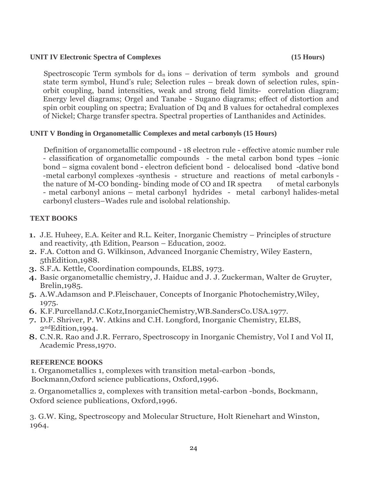# **UNIT IV Electronic Spectra of Complexes (15 Hours)**

Spectroscopic Term symbols for  $d_n$  ions – derivation of term symbols and ground state term symbol, Hund's rule; Selection rules – break down of selection rules, spinorbit coupling, band intensities, weak and strong field limits- correlation diagram; Energy level diagrams; Orgel and Tanabe - Sugano diagrams; effect of distortion and spin orbit coupling on spectra; Evaluation of Dq and B values for octahedral complexes of Nickel; Charge transfer spectra. Spectral properties of Lanthanides and Actinides.

# **UNIT V Bonding in Organometallic Complexes and metal carbonyls (15 Hours)**

Definition of organometallic compound - 18 electron rule - effective atomic number rule - classification of organometallic compounds - the metal carbon bond types –ionic bond – sigma covalent bond - electron deficient bond - delocalised bond -dative bond -metal carbonyl complexes -synthesis - structure and reactions of metal carbonyls the nature of M-CO bonding- binding mode of CO and IR spectra of metal carbonyls - metal carbonyl anions – metal carbonyl hydrides - metal carbonyl halides-metal carbonyl clusters–Wades rule and isolobal relationship.

# **TEXT BOOKS**

- 1. J.E. Huheey, E.A. Keiter and R.L. Keiter, Inorganic Chemistry Principles of structure and reactivity, 4th Edition, Pearson – Education, 2002.
- 2. F.A. Cotton and G. Wilkinson, Advanced Inorganic Chemistry, Wiley Eastern, 5thEdition,1988.
- 3. S.F.A. Kettle, Coordination compounds, ELBS, 1973.
- 4. Basic organometallic chemistry, J. Haiduc and J. J. Zuckerman, Walter de Gruyter, Brelin,1985.
- 5. A.W.Adamson and P.Fleischauer, Concepts of Inorganic Photochemistry,Wiley, 1975.
- 6. K.F.PurcellandJ.C.Kotz,InorganicChemistry,WB.SandersCo.USA.1977.
- 7. D.F. Shriver, P. W. Atkins and C.H. Longford, Inorganic Chemistry, ELBS, 2ndEdition,1994.
- 8. C.N.R. Rao and J.R. Ferraro, Spectroscopy in Inorganic Chemistry, Vol I and Vol II, Academic Press,1970.

# **REFERENCE BOOKS**

1. Organometallics 1, complexes with transition metal-carbon -bonds, Bockmann,Oxford science publications, Oxford,1996.

2. Organometallics 2, complexes with transition metal-carbon -bonds, Bockmann, Oxford science publications, Oxford,1996.

3. G.W. King, Spectroscopy and Molecular Structure, Holt Rienehart and Winston, 1964.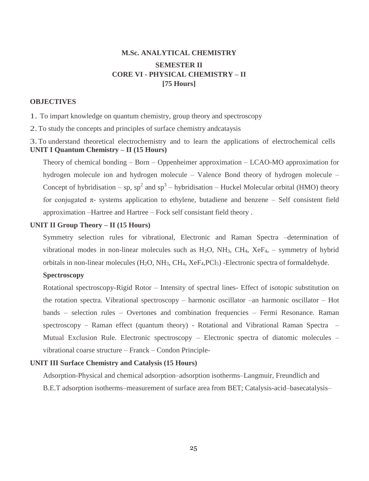# **M.Sc. ANALYTICAL CHEMISTRY SEMESTER II CORE VI - PHYSICAL CHEMISTRY – II [75 Hours]**

#### **OBJECTIVES**

1. To impart knowledge on quantum chemistry, group theory and spectroscopy

2.To study the concepts and principles of surface chemistry andcataysis

3.To understand theoretical electrochemistry and to learn the applications of electrochemical cells **UNIT I Quantum Chemistry – II (15 Hours)**

Theory of chemical bonding – Born – Oppenheimer approximation – LCAO-MO approximation for hydrogen molecule ion and hydrogen molecule – Valence Bond theory of hydrogen molecule – Concept of hybridisation – sp, sp<sup>2</sup> and sp<sup>3</sup> – hybridisation – Huckel Molecular orbital (HMO) theory for conjugated  $\pi$ - systems application to ethylene, butadiene and benzene – Self consistent field approximation –Hartree and Hartree – Fock self consistant field theory .

#### **UNIT II Group Theory – II (15 Hours)**

Symmetry selection rules for vibrational, Electronic and Raman Spectra –determination of vibrational modes in non-linear molecules such as  $H_2O$ ,  $NH_3$ ,  $CH_4$ ,  $XeF_4$ , – symmetry of hybrid orbitals in non-linear molecules (H2O, NH3, CH4, XeF4,PCl5) -Electronic spectra of formaldehyde.

#### **Spectroscopy**

Rotational spectroscopy-Rigid Rotor – Intensity of spectral lines- Effect of isotopic substitution on the rotation spectra. Vibrational spectroscopy – harmonic oscillator –an harmonic oscillator – Hot bands – selection rules – Overtones and combination frequencies – Fermi Resonance. Raman spectroscopy – Raman effect (quantum theory) - Rotational and Vibrational Raman Spectra – Mutual Exclusion Rule. Electronic spectroscopy – Electronic spectra of diatomic molecules – vibrational coarse structure – Franck – Condon Principle-

#### **UNIT III Surface Chemistry and Catalysis (15 Hours)**

Adsorption-Physical and chemical adsorption–adsorption isotherms–Langmuir, Freundlich and B.E.T adsorption isotherms–measurement of surface area from BET; Catalysis-acid–basecatalysis–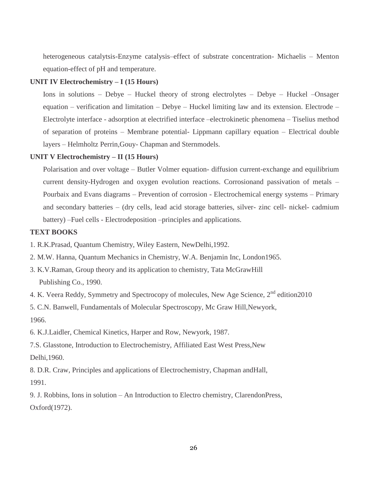heterogeneous catalytsis-Enzyme catalysis–effect of substrate concentration- Michaelis – Menton equation-effect of pH and temperature.

#### **UNIT IV Electrochemistry – I (15 Hours)**

Ions in solutions – Debye – Huckel theory of strong electrolytes – Debye – Huckel –Onsager equation – verification and limitation – Debye – Huckel limiting law and its extension. Electrode – Electrolyte interface - adsorption at electrified interface –electrokinetic phenomena – Tiselius method of separation of proteins – Membrane potential- Lippmann capillary equation – Electrical double layers – Helmholtz Perrin,Gouy- Chapman and Sternmodels.

#### **UNIT V Electrochemistry – II (15 Hours)**

Polarisation and over voltage – Butler Volmer equation- diffusion current-exchange and equilibrium current density-Hydrogen and oxygen evolution reactions. Corrosionand passivation of metals – Pourbaix and Evans diagrams – Prevention of corrosion - Electrochemical energy systems – Primary and secondary batteries – (dry cells, lead acid storage batteries, silver- zinc cell- nickel- cadmium battery) –Fuel cells - Electrodeposition –principles and applications.

#### **TEXT BOOKS**

- 1. R.K.Prasad, Quantum Chemistry, Wiley Eastern, NewDelhi,1992.
- 2. M.W. Hanna, Quantum Mechanics in Chemistry, W.A. Benjamin Inc, London1965.
- 3. K.V.Raman, Group theory and its application to chemistry, Tata McGrawHill Publishing Co., 1990.
- 4. K. Veera Reddy, Symmetry and Spectrocopy of molecules, New Age Science, 2<sup>nd</sup> edition2010

5. C.N. Banwell, Fundamentals of Molecular Spectroscopy, Mc Graw Hill,Newyork, 1966.

6. K.J.Laidler, Chemical Kinetics, Harper and Row, Newyork, 1987.

7.S. Glasstone, Introduction to Electrochemistry, Affiliated East West Press,New Delhi,1960.

8. D.R. Craw, Principles and applications of Electrochemistry, Chapman andHall, 1991.

9. J. Robbins, Ions in solution – An Introduction to Electro chemistry, ClarendonPress, Oxford(1972).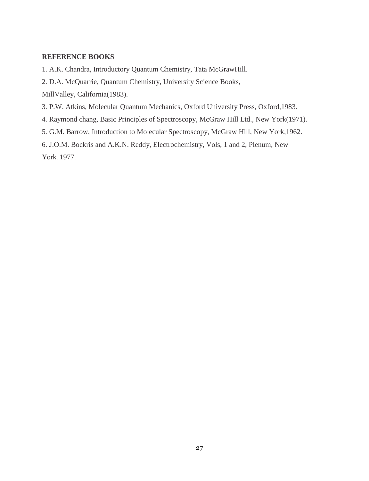#### **REFERENCE BOOKS**

1. A.K. Chandra, Introductory Quantum Chemistry, Tata McGrawHill.

2. D.A. McQuarrie, Quantum Chemistry, University Science Books,

MillValley, California(1983).

- 3. P.W. Atkins, Molecular Quantum Mechanics, Oxford University Press, Oxford,1983.
- 4. Raymond chang, Basic Principles of Spectroscopy, McGraw Hill Ltd., New York(1971).
- 5. G.M. Barrow, Introduction to Molecular Spectroscopy, McGraw Hill, New York,1962.

6. J.O.M. Bockris and A.K.N. Reddy, Electrochemistry, Vols, 1 and 2, Plenum, New York. 1977.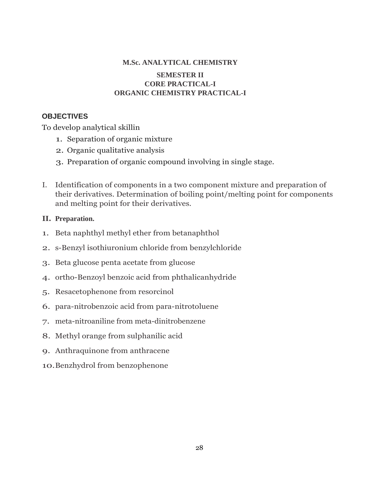# **M.Sc. ANALYTICAL CHEMISTRY SEMESTER II CORE PRACTICAL-I ORGANIC CHEMISTRY PRACTICAL-I**

# **OBJECTIVES**

To develop analytical skillin

- 1. Separation of organic mixture
- 2. Organic qualitative analysis
- 3. Preparation of organic compound involving in single stage.
- I. Identification of components in a two component mixture and preparation of their derivatives. Determination of boiling point/melting point for components and melting point for their derivatives.

# **II. Preparation.**

- 1. Beta naphthyl methyl ether from betanaphthol
- 2. s-Benzyl isothiuronium chloride from benzylchloride
- 3. Beta glucose penta acetate from glucose
- 4. ortho-Benzoyl benzoic acid from phthalicanhydride
- 5. Resacetophenone from resorcinol
- 6. para-nitrobenzoic acid from para-nitrotoluene
- 7. meta-nitroaniline from meta-dinitrobenzene
- 8. Methyl orange from sulphanilic acid
- 9. Anthraquinone from anthracene
- 10.Benzhydrol from benzophenone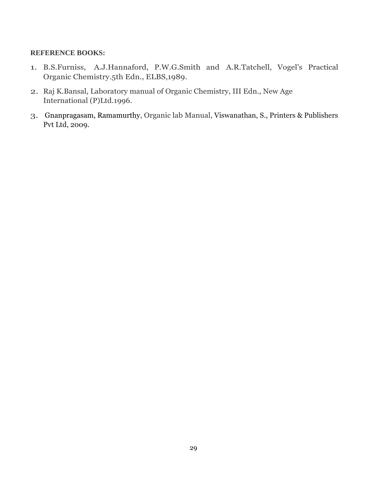- 1. B.S.Furniss, A.J.Hannaford, P.W.G.Smith and A.R.Tatchell, Vogel's Practical Organic Chemistry.5th Edn., ELBS,1989.
- 2. Raj K.Bansal, Laboratory manual of Organic Chemistry, III Edn., New Age International (P)Ltd.1996.
- 3. [Gnanpragasam,](https://www.amazon.in/s/ref=dp_byline_sr_book_1?ie=UTF8&field-author=Dr.+N.S.+Gnanpragasam&search-alias=stripbooks) Ramamurthy, Organic lab Manual, Viswanathan, S., Printers & Publishers Pvt Ltd, 2009.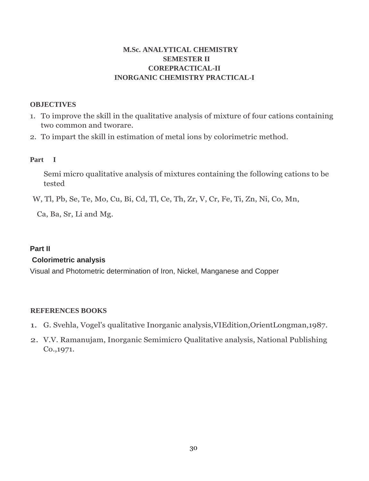# **M.Sc. ANALYTICAL CHEMISTRY SEMESTER II COREPRACTICAL-II INORGANIC CHEMISTRY PRACTICAL-I**

### **OBJECTIVES**

- 1. To improve the skill in the qualitative analysis of mixture of four cations containing two common and tworare.
- 2. To impart the skill in estimation of metal ions by colorimetric method.

### **Part I**

Semi micro qualitative analysis of mixtures containing the following cations to be tested

W, Tl, Pb, Se, Te, Mo, Cu, Bi, Cd, Tl, Ce, Th, Zr, V, Cr, Fe, Ti, Zn, Ni, Co, Mn,

Ca, Ba, Sr, Li and Mg.

# **Part II**

# **Colorimetric analysis**

Visual and Photometric determination of Iron, Nickel, Manganese and Copper

- 1. G. Svehla, Vogel's qualitative Inorganic analysis,VIEdition,OrientLongman,1987.
- 2. V.V. Ramanujam, Inorganic Semimicro Qualitative analysis, National Publishing Co.,1971.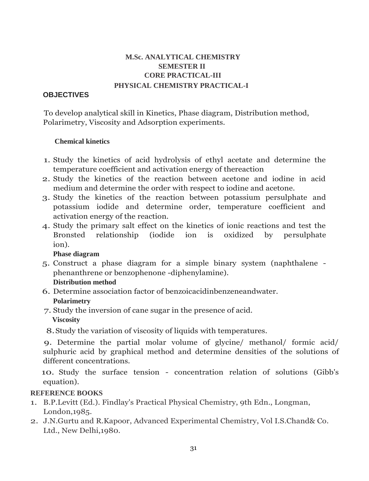# **M.Sc. ANALYTICAL CHEMISTRY SEMESTER II CORE PRACTICAL-III PHYSICAL CHEMISTRY PRACTICAL-I**

# **OBJECTIVES**

To develop analytical skill in Kinetics, Phase diagram, Distribution method, Polarimetry, Viscosity and Adsorption experiments.

# **Chemical kinetics**

- 1. Study the kinetics of acid hydrolysis of ethyl acetate and determine the temperature coefficient and activation energy of thereaction
- 2. Study the kinetics of the reaction between acetone and iodine in acid medium and determine the order with respect to iodine and acetone.
- 3. Study the kinetics of the reaction between potassium persulphate and potassium iodide and determine order, temperature coefficient and activation energy of the reaction.
- 4. Study the primary salt effect on the kinetics of ionic reactions and test the Bronsted relationship (iodide ion is oxidized by persulphate ion).

# **Phase diagram**

5. Construct a phase diagram for a simple binary system (naphthalene phenanthrene or benzophenone -diphenylamine).

# **Distribution method**

- 6. Determine association factor of benzoicacidinbenzeneandwater. **Polarimetry**
- 7. Study the inversion of cane sugar in the presence of acid. **Viscosity**

8.Study the variation of viscosity of liquids with temperatures.

9. Determine the partial molar volume of glycine/ methanol/ formic acid/ sulphuric acid by graphical method and determine densities of the solutions of different concentrations.

10. Study the surface tension - concentration relation of solutions (Gibb's equation).

- 1. B.P.Levitt (Ed.). Findlay's Practical Physical Chemistry, 9th Edn., Longman, London,1985.
- 2. J.N.Gurtu and R.Kapoor, Advanced Experimental Chemistry, Vol I.S.Chand& Co. Ltd., New Delhi,1980.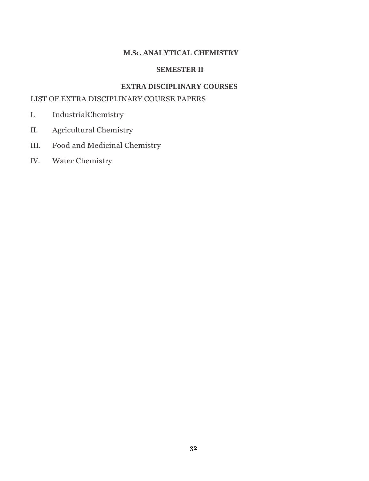# **M.Sc. ANALYTICAL CHEMISTRY**

## **SEMESTER II**

# **EXTRA DISCIPLINARY COURSES**

# LIST OF EXTRA DISCIPLINARY COURSE PAPERS

- I. IndustrialChemistry
- II. Agricultural Chemistry
- III. Food and Medicinal Chemistry
- IV. Water Chemistry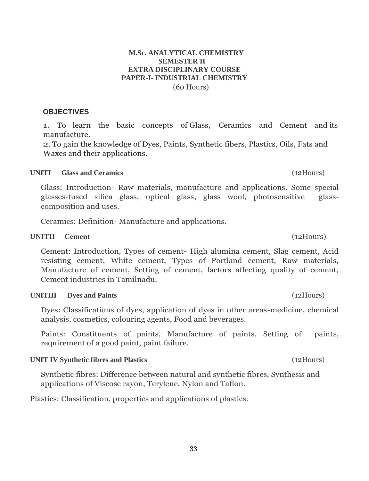### **M.Sc. ANALYTICAL CHEMISTRY SEMESTER II EXTRA DISCIPLINARY COURSE PAPER-I- INDUSTRIAL CHEMISTRY** (60 Hours)

# **OBJECTIVES**

1. To learn the basic concepts of Glass, Ceramics and Cement and its manufacture.

2.To gain the knowledge of Dyes, Paints, Synthetic fibers, Plastics, Oils, Fats and Waxes and their applications.

# **UNITI Glass and Ceramics** (12Hours)

Glass: Introduction- Raw materials, manufacture and applications. Some special glasses-fused silica glass, optical glass, glass wool, photosensitive glasscomposition and uses.

Ceramics: Definition- Manufacture and applications.

# **UNITII Cement** (12Hours)

Cement: Introduction, Types of cement- High alumina cement, Slag cement, Acid resisting cement, White cement, Types of Portland cement, Raw materials, Manufacture of cement, Setting of cement, factors affecting quality of cement, Cement industries in Tamilnadu.

# **UNITIII Dyes and Paints** (12Hours)

Dyes: Classifications of dyes, application of dyes in other areas-medicine, chemical analysis, cosmetics, colouring agents, Food and beverages.

Paints: Constituents of paints, Manufacture of paints, Setting of paints, requirement of a good paint, paint failure.

# **UNIT IV Synthetic fibres and Plastics** (12Hours)

Synthetic fibres: Difference between natural and synthetic fibres, Synthesis and applications of Viscose rayon, Terylene, Nylon and Taflon.

Plastics: Classification, properties and applications of plastics.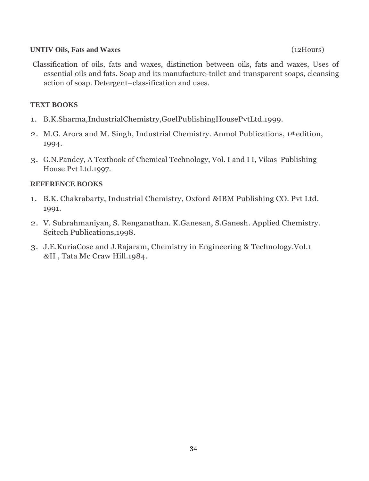# **UNTIV Oils, Fats and Waxes** (12Hours)

Classification of oils, fats and waxes, distinction between oils, fats and waxes, Uses of essential oils and fats. Soap and its manufacture-toilet and transparent soaps, cleansing action of soap. Detergent–classification and uses.

# **TEXT BOOKS**

- 1. B.K.Sharma,IndustrialChemistry,GoelPublishingHousePvtLtd.1999.
- 2. M.G. Arora and M. Singh, Industrial Chemistry. Anmol Publications, 1st edition, 1994.
- 3. G.N.Pandey, A Textbook of Chemical Technology, Vol. I and I I, Vikas Publishing House Pvt Ltd.1997.

- 1. B.K. Chakrabarty, Industrial Chemistry, Oxford *&*IBM Publishing CO. Pvt Ltd. 1991.
- 2. V. Subrahmaniyan, S. Renganathan. K.Ganesan, S.Ganesh. Applied Chemistry. Scitcch Publications,1998.
- 3. J.E.KuriaCose and J.Rajaram, Chemistry in Engineering & Technology.Vol.1 *&*II , Tata Mc Craw Hill.1984.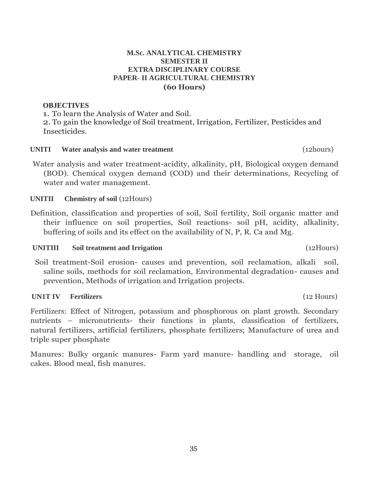# 35

# **M.Sc. ANALYTICAL CHEMISTRY SEMESTER II EXTRA DISCIPLINARY COURSE PAPER- II AGRICULTURAL CHEMISTRY (60 Hours)**

#### **OBJECTIVES**

1. To learn the Analysis of Water and Soil. 2.To gain the knowledge of Soil treatment, Irrigation, Fertilizer, Pesticides and Insecticides.

#### **UNITI Water analysis and water treatment** (12hours)

Water analysis and water treatment-acidity, alkalinity, pH, Biological oxygen demand (BOD). Chemical oxygen demand (COD) and their determinations, Recycling of water and water management.

### **UNITII Chemistry of soil** (12Hours)

Definition, classification and properties of soil, Soil fertility, Soil organic matter and their influence on soil properties, Soil reactions- soil pH, acidity, alkalinity, buffering of soils and its effect on the availability of N, P, R. Ca and Mg.

#### **UNITIII Soil treatment and Irrigation** (12Hours)

Soil treatment-Soil erosion- causes and prevention, soil reclamation, alkali soil, saline soils, methods for soil reclamation, Environmental degradation- causes and prevention, Methods of irrigation and Irrigation projects.

#### **UN1T IV Fertilizers** (12 Hours)

Fertilizers: Effect of Nitrogen, potassium and phosphorous on plant growth. Secondary nutrients – micronutrients- their functions in plants, classification of fertilizers, natural fertilizers, artificial fertilizers, phosphate fertilizers; Manufacture of urea and triple super phosphate

Manures: Bulky organic manures- Farm yard manure- handling and storage, oil cakes. Blood meal, fish manures.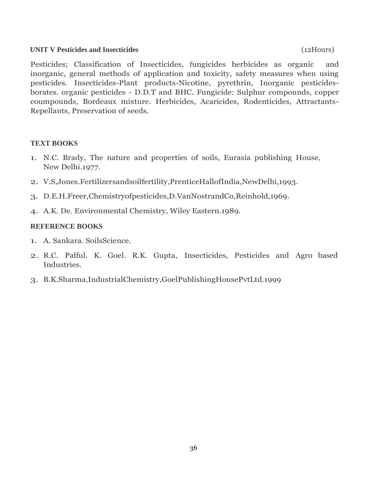#### **UNIT V Pesticides and Insecticides** (12Hours)

Pesticides; Classification of Insecticides, fungicides herbicides as organic and inorganic, general methods of application and toxicity, safety measures when using pesticides. Insecticides-Plant products-Nicotine, pyrethrin, Inorganic pesticidesborates. organic pesticides - D.D.T and BHC. Fungicide: Sulphur compounds, copper coumpounds, Bordeaux mixture. Herbicides, Acaricides, Rodenticides, Attractants-Repellants, Preservation of seeds.

# **TEXT BOOKS**

- 1. N.C. Brady, The nature and properties of soils, Eurasia publishing House, New Delhi.1977.
- 2. V.S,Jones.Fertilizersandsoilfertility,PrenticeHallofIndia,NewDelhi,1993.
- 3. D.E.H.Freer,Chemistryofpesticides,D.VanNostrandCo,Reinhold,1969.
- 4. A.K. De. Environmental Chemistry, Wiley Eastern.1989.

- 1. A. Sankara. SoilsScience.
- 2. R.C. Palful. K. Goel. R.K. Gupta, Insecticides, Pesticides and Agro based Industries.
- 3. B.K.Sharma,IndustrialChemistry,GoelPublishingHousePvtLtd.1999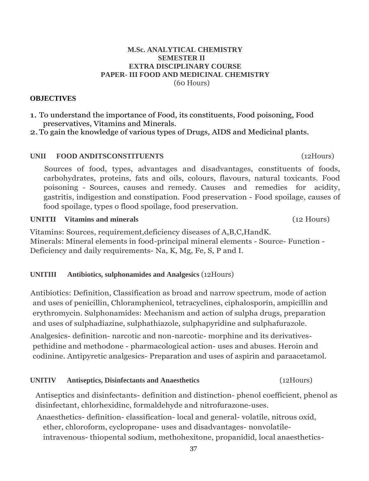#### **M.Sc. ANALYTICAL CHEMISTRY SEMESTER II EXTRA DISCIPLINARY COURSE PAPER- III FOOD AND MEDICINAL CHEMISTRY** (60 Hours)

## **OBJECTIVES**

1. To understand the importance of Food, its constituents, Food poisoning, Food preservatives, Vitamins and Minerals.

2.To gain the knowledge of various types of Drugs, AIDS and Medicinal plants.

# **UNII FOOD ANDITSCONSTITUENTS** (12Hours)

Sources of food, types, advantages and disadvantages, constituents of foods, carbohydrates, proteins, fats and oils, colours, flavours, natural toxicants. Food poisoning - Sources, causes and remedy. Causes and remedies for acidity, gastritis, indigestion and constipation. Food preservation - Food spoilage, causes of food spoilage, types o flood spoilage, food preservation.

**UNITII Vitamins and minerals** (12 Hours)

Vitamins: Sources, requirement,deficiency diseases of A,B,C,HandK. Minerals: Mineral elements in food-principal mineral elements - Source- Function - Deficiency and daily requirements- Na, K, Mg, Fe, S, P and I.

# **UNITIII Antibiotics, sulphonamides and Analgesics** (12Hours)

Antibiotics: Definition, Classification as broad and narrow spectrum, mode of action and uses of penicillin, Chloramphenicol, tetracyclines, ciphalosporin, ampicillin and erythromycin. Sulphonamides: Mechanism and action of sulpha drugs, preparation and uses of sulphadiazine, sulphathiazole, sulphapyridine and sulphafurazole.

Analgesics- definition- narcotic and non-narcotic- morphine and its derivativespethidine and methodone - pharmacological action- uses and abuses. Heroin and codinine. Antipyretic analgesics- Preparation and uses of aspirin and paraacetamol.

# **UNITIV Antiseptics, Disinfectants and Anaesthetics** (12Hours)

Antiseptics and disinfectants- definition and distinction- phenol coefficient, phenol as disinfectant, chlorhexidinc, formaldehyde and nitrofurazone-uses.

Anaesthetics- definition- classification- local and general- volatile, nitrous oxid, ether, chloroform, cyclopropane- uses and disadvantages- nonvolatileintravenous- thiopental sodium, methohexitone, propanidid, local anaesthetics-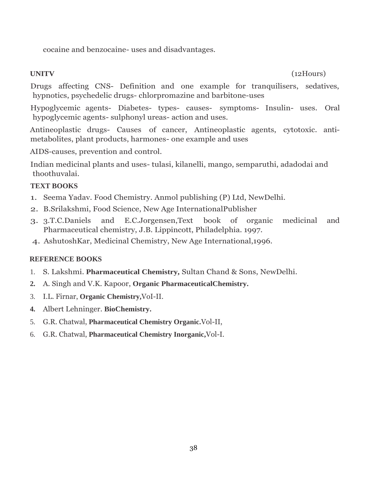cocaine and benzocaine- uses and disadvantages.

**UNITV** (12Hours)

Drugs affecting CNS- Definition and one example for tranquilisers, sedatives, hypnotics, psychedelic drugs- chlorpromazine and barbitone-uses

Hypoglycemic agents- Diabetes- types- causes- symptoms- Insulin- uses. Oral hypoglycemic agents- sulphonyl ureas- action and uses.

Antineoplastic drugs- Causes of cancer, Antineoplastic agents, cytotoxic. antimetabolites, plant products, harmones- one example and uses

AIDS-causes, prevention and control.

Indian medicinal plants and uses- tulasi, kilanelli, mango, semparuthi, adadodai and thoothuvalai.

# **TEXT BOOKS**

- 1. Seema Yadav. Food Chemistry. Anmol publishing (P) Ltd, NewDelhi.
- 2. B.Srilakshmi, Food Science, New Age InternationalPublisher
- 3. 3.T.C.Daniels and E.C.Jorgensen,Text book of organic medicinal and Pharmaceutical chemistry, J.B. Lippincott, Philadelphia. 1997.
- 4. AshutoshKar, Medicinal Chemistry, New Age International,1996.

- 1. S. Lakshmi. **Pharmaceutical Chemistry,** Sultan Chand & Sons, NewDelhi.
- **2.** A. Singh and V.K. Kapoor, **Organic PharmaceuticalChemistry.**
- 3. I.L. Firnar, **Organic Chemistry,**VoI-II.
- **4.** Albert Lehninger. **BioChemistry.**
- 5. G.R. Chatwal, **Pharmaceutical Chemistry Organic.**Vol-II,
- 6. G.R. Chatwal, **Pharmaceutical Chemistry Inorganic,**Vol-I.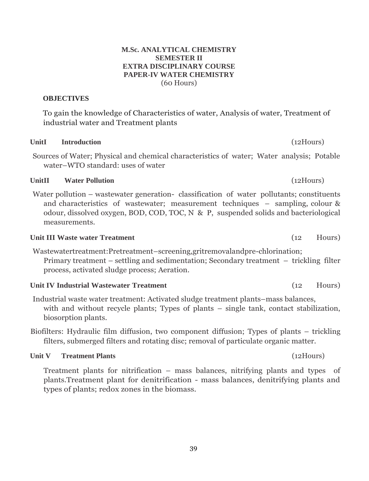#### **M.Sc. ANALYTICAL CHEMISTRY SEMESTER II EXTRA DISCIPLINARY COURSE PAPER-IV WATER CHEMISTRY** (60 Hours)

# **OBJECTIVES**

To gain the knowledge of Characteristics of water, Analysis of water, Treatment of industrial water and Treatment plants

# **UnitI Introduction** (12Hours)

Sources of Water; Physical and chemical characteristics of water; Water analysis; Potable water–WTO standard: uses of water

# **UnitII Water Pollution** (12Hours)

Water pollution – wastewater generation- classification of water pollutants; constituents and characteristics of wastewater; measurement techniques – sampling, colour & odour, dissolved oxygen, BOD, COD, TOC, N & P, suspended solids and bacteriological measurements.

# **Unit III Waste water Treatment** (12 Hours)

Wastewatertreatment:Pretreatment–screening,gritremovalandpre-chlorination; Primary treatment – settling and sedimentation; Secondary treatment – trickling filter process, activated sludge process; Aeration.

# **Unit IV Industrial Wastewater Treatment** (12 Hours)

- Industrial waste water treatment: Activated sludge treatment plants–mass balances, with and without recycle plants; Types of plants – single tank, contact stabilization, biosorption plants.
- Biofilters: Hydraulic film diffusion, two component diffusion; Types of plants trickling filters, submerged filters and rotating disc; removal of particulate organic matter.

# **Unit V Treatment Plants** (12Hours)

Treatment plants for nitrification – mass balances, nitrifying plants and types of plants.Treatment plant for denitrification - mass balances, denitrifying plants and types of plants; redox zones in the biomass.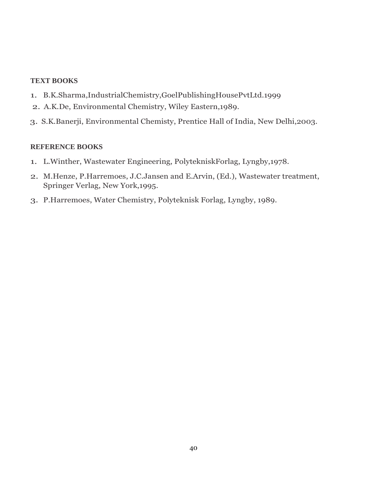## **TEXT BOOKS**

- 1. B.K.Sharma,IndustrialChemistry,GoelPublishingHousePvtLtd.1999
- 2. A.K.De, Environmental Chemistry, Wiley Eastern,1989.
- 3. S.K.Banerji, Environmental Chemisty, Prentice Hall of India, New Delhi,2003.

- 1. L.Winther, Wastewater Engineering, PolytekniskForlag, Lyngby,1978.
- 2. M.Henze, P.Harremoes, J.C.Jansen and E.Arvin, (Ed.), Wastewater treatment, Springer Verlag, New York,1995.
- 3. P.Harremoes, Water Chemistry, Polyteknisk Forlag, Lyngby, 1989.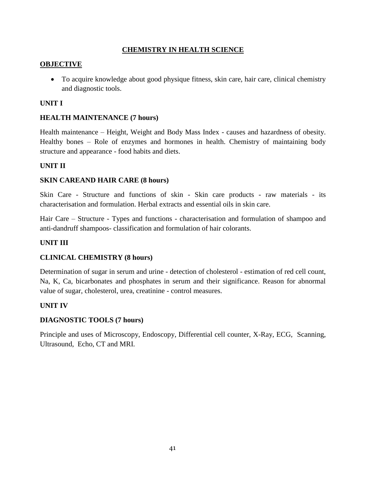# **CHEMISTRY IN HEALTH SCIENCE**

## **OBJECTIVE**

 To acquire knowledge about good physique fitness, skin care, hair care, clinical chemistry and diagnostic tools.

## **UNIT I**

## **HEALTH MAINTENANCE (7 hours)**

Health maintenance – Height, Weight and Body Mass Index - causes and hazardness of obesity. Healthy bones – Role of enzymes and hormones in health. Chemistry of maintaining body structure and appearance - food habits and diets.

### **UNIT II**

### **SKIN CAREAND HAIR CARE (8 hours)**

Skin Care - Structure and functions of skin - Skin care products - raw materials - its characterisation and formulation. Herbal extracts and essential oils in skin care.

Hair Care – Structure - Types and functions - characterisation and formulation of shampoo and anti-dandruff shampoos- classification and formulation of hair colorants.

#### **UNIT III**

# **CLINICAL CHEMISTRY (8 hours)**

Determination of sugar in serum and urine - detection of cholesterol - estimation of red cell count, Na, K, Ca, bicarbonates and phosphates in serum and their significance. Reason for abnormal value of sugar, cholesterol, urea, creatinine - control measures.

#### **UNIT IV**

#### **DIAGNOSTIC TOOLS (7 hours)**

Principle and uses of Microscopy, Endoscopy, Differential cell counter, X-Ray, ECG, Scanning, Ultrasound, Echo, CT and MRI.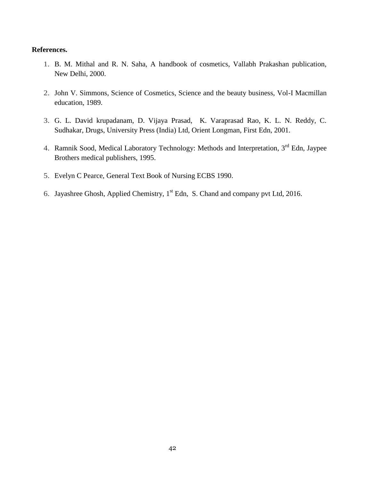#### **References.**

- 1. B. M. Mithal and R. N. Saha, A handbook of cosmetics, Vallabh Prakashan publication, New Delhi, 2000.
- 2. John V. Simmons, Science of Cosmetics, Science and the beauty business, Vol-I Macmillan education, 1989.
- 3. G. L. David krupadanam, D. Vijaya Prasad, K. Varaprasad Rao, K. L. N. Reddy, C. Sudhakar, Drugs, University Press (India) Ltd, Orient Longman, First Edn, 2001.
- 4. Ramnik Sood, Medical Laboratory Technology: Methods and Interpretation, 3<sup>rd</sup> Edn, Jaypee Brothers medical publishers, 1995.
- 5. Evelyn C Pearce, General Text Book of Nursing ECBS 1990.
- 6. Jayashree Ghosh, Applied Chemistry, 1<sup>st</sup> Edn, S. Chand and company pvt Ltd, 2016.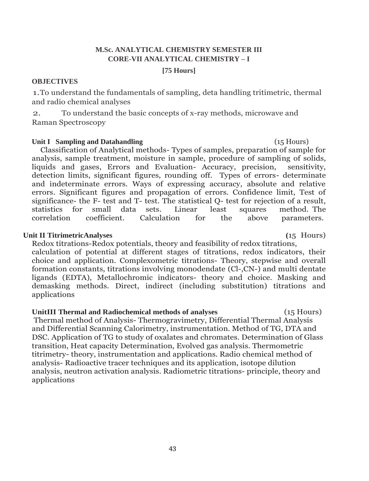# **M.Sc. ANALYTICAL CHEMISTRY SEMESTER III CORE-VII ANALYTICAL CHEMISTRY – I**

#### **[75 Hours]**

#### **OBJECTIVES**

1.To understand the fundamentals of sampling, deta handling tritimetric, thermal and radio chemical analyses

2. To understand the basic concepts of x-ray methods, microwave and Raman Spectroscopy

#### **Unit I Sampling and Datahandling** (15 Hours)

Classification of Analytical methods- Types of samples, preparation of sample for analysis, sample treatment, moisture in sample, procedure of sampling of solids, liquids and gases, Errors and Evaluation- Accuracy, precision, sensitivity, detection limits, significant figures, rounding off. Types of errors- determinate and indeterminate errors. Ways of expressing accuracy, absolute and relative errors. Significant figures and propagation of errors. Confidence limit, Test of significance- the F- test and T- test. The statistical Q- test for rejection of a result, statistics for small data sets. Linear least squares method. The correlation coefficient. Calculation for the above parameters.

#### **Unit II TitrimetricAnalyses (**15 Hours)

Redox titrations-Redox potentials, theory and feasibility of redox titrations, calculation of potential at different stages of titrations, redox indicators, their choice and application. Complexometric titrations- Theory, stepwise and overall formation constants, titrations involving monodendate (Cl-,CN-) and multi dentate ligands (EDTA), Metallochromic indicators- theory and choice. Masking and demasking methods. Direct, indirect (including substitution) titrations and applications

**UnitIII Thermal and Radiochemical methods of analyses** (15 Hours) Thermal method of Analysis- Thermogravimetry, Differential Thermal Analysis and Differential Scanning Calorimetry, instrumentation. Method of TG, DTA and DSC. Application of TG to study of oxalates and chromates. Determination of Glass transition, Heat capacity Determination, Evolved gas analysis. Thermometric titrimetry- theory, instrumentation and applications. Radio chemical method of analysis- Radioactive tracer techniques and its application, isotope dilution analysis, neutron activation analysis. Radiometric titrations- principle, theory and applications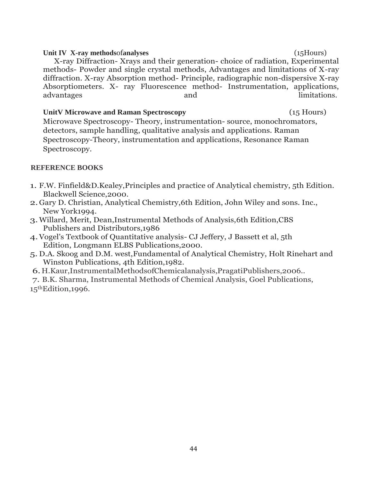# Unit IV X-ray methodsofanalyses (15Hours) X-ray Diffraction- Xrays and their generation- choice of radiation, Experimental methods- Powder and single crystal methods, Advantages and limitations of X-ray diffraction. X-ray Absorption method- Principle, radiographic non-dispersive X-ray Absorptiometers. X- ray Fluorescence method- Instrumentation, applications, advantages and and limitations.

## **UnitV Microwave and Raman Spectroscopy** (15 Hours)

Microwave Spectroscopy- Theory, instrumentation- source, monochromators, detectors, sample handling, qualitative analysis and applications. Raman Spectroscopy-Theory, instrumentation and applications, Resonance Raman Spectroscopy.

- 1. F.W. Finfield&D.Kealey,Principles and practice of Analytical chemistry, 5th Edition. Blackwell Science,2000.
- 2.Gary D. Christian, Analytical Chemistry,6th Edition, John Wiley and sons. Inc., New York1994.
- 3.Willard, Merit, Dean,Instrumental Methods of Analysis,6th Edition,CBS Publishers and Distributors,1986
- 4.Vogel's Textbook of Quantitative analysis- CJ Jeffery, J Bassett et al, 5th Edition, Longmann ELBS Publications,2000.
- 5. D.A. Skoog and D.M. west,Fundamental of Analytical Chemistry, Holt Rinehart and Winston Publications, 4th Edition,1982.
- 6. H.Kaur,InstrumentalMethodsofChemicalanalysis,PragatiPublishers,2006..
- 7. B.K. Sharma, Instrumental Methods of Chemical Analysis, Goel Publications,  $15<sup>th</sup> Edition, 1996.$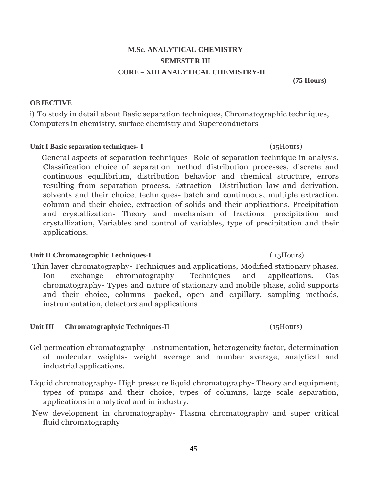# **M.Sc. ANALYTICAL CHEMISTRY SEMESTER III CORE – XIII ANALYTICAL CHEMISTRY-II**

**(75 Hours)**

# **OBJECTIVE**

i) To study in detail about Basic separation techniques, Chromatographic techniques, Computers in chemistry, surface chemistry and Superconductors

# **Unit I Basic separation techniques- I** (15Hours)

General aspects of separation techniques- Role of separation technique in analysis, Classification choice of separation method distribution processes, discrete and continuous equilibrium, distribution behavior and chemical structure, errors resulting from separation process. Extraction- Distribution law and derivation, solvents and their choice, techniques- batch and continuous, multiple extraction, column and their choice, extraction of solids and their applications. Precipitation and crystallization- Theory and mechanism of fractional precipitation and crystallization, Variables and control of variables, type of precipitation and their applications.

# Unit II Chromatographic Techniques-I (15Hours)

Thin layer chromatography- Techniques and applications, Modified stationary phases. Ion- exchange chromatography- Techniques and applications. Gas chromatography- Types and nature of stationary and mobile phase, solid supports and their choice, columns- packed, open and capillary, sampling methods, instrumentation, detectors and applications

# Unit **III** Chromatographyic Techniques-II (15Hours)

- Gel permeation chromatography- Instrumentation, heterogeneity factor, determination of molecular weights- weight average and number average, analytical and industrial applications.
- Liquid chromatography- High pressure liquid chromatography- Theory and equipment, types of pumps and their choice, types of columns, large scale separation, applications in analytical and in industry.
- New development in chromatography- Plasma chromatography and super critical fluid chromatography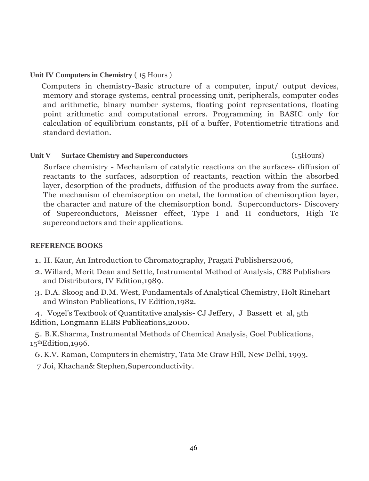# **Unit IV Computers in Chemistry** ( 15 Hours )

Computers in chemistry-Basic structure of a computer, input/ output devices, memory and storage systems, central processing unit, peripherals, computer codes and arithmetic, binary number systems, floating point representations, floating point arithmetic and computational errors. Programming in BASIC only for calculation of equilibrium constants, pH of a buffer, Potentiometric titrations and standard deviation.

### Unit V Surface Chemistry and Superconductors (15Hours)

Surface chemistry - Mechanism of catalytic reactions on the surfaces- diffusion of reactants to the surfaces, adsorption of reactants, reaction within the absorbed layer, desorption of the products, diffusion of the products away from the surface. The mechanism of chemisorption on metal, the formation of chemisorption layer, the character and nature of the chemisorption bond. Superconductors- Discovery of Superconductors, Meissner effect, Type I and II conductors, High Tc superconductors and their applications.

# **REFERENCE BOOKS**

- 1. H. Kaur, An Introduction to Chromatography, Pragati Publishers2006,
- 2. Willard, Merit Dean and Settle, Instrumental Method of Analysis, CBS Publishers and Distributors, IV Edition,1989.
- 3. D.A. Skoog and D.M. West, Fundamentals of Analytical Chemistry, Holt Rinehart and Winston Publications, IV Edition,1982.

4. Vogel's Textbook of Quantitative analysis- CJ Jeffery, J Bassett et al, 5th Edition, Longmann ELBS Publications,2000.

5. B.K.Sharma, Instrumental Methods of Chemical Analysis, Goel Publications, 15thEdition,1996.

6.K.V. Raman, Computers in chemistry, Tata Mc Graw Hill, New Delhi, 1993. 7 Joi, Khachan& Stephen,Superconductivity.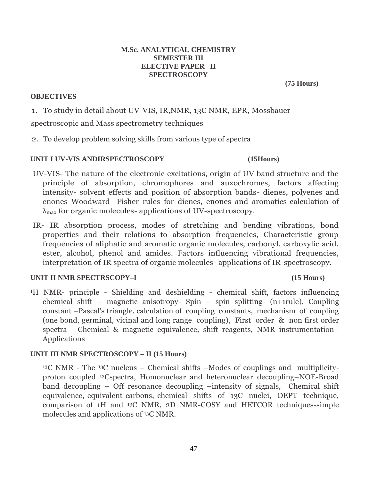#### **M.Sc. ANALYTICAL CHEMISTRY SEMESTER III ELECTIVE PAPER –II SPECTROSCOPY**

#### **OBJECTIVES**

**(75 Hours)**

1. To study in detail about UV-VIS, IR,NMR, 13C NMR, EPR, Mossbauer spectroscopic and Mass spectrometry techniques

2. To develop problem solving skills from various type of spectra

# **UNIT I UV-VIS ANDIRSPECTROSCOPY (15Hours)**

- UV-VIS- The nature of the electronic excitations, origin of UV band structure and the principle of absorption, chromophores and auxochromes, factors affecting intensity- solvent effects and position of absorption bands- dienes, polyenes and enones Woodward- Fisher rules for dienes, enones and aromatics-calculation of λmax for organic molecules- applications of UV-spectroscopy.
- IR- IR absorption process, modes of stretching and bending vibrations, bond properties and their relations to absorption frequencies, Characteristic group frequencies of aliphatic and aromatic organic molecules, carbonyl, carboxylic acid, ester, alcohol, phenol and amides. Factors influencing vibrational frequencies, interpretation of IR spectra of organic molecules- applications of IR-spectroscopy.

# **UNIT II NMR SPECTRSCOPY–I (15 Hours)**

<sup>1</sup>H NMR- principle - Shielding and deshielding - chemical shift, factors influencing chemical shift – magnetic anisotropy- Spin – spin splitting- (n+1rule), Coupling constant –Pascal's triangle, calculation of coupling constants, mechanism of coupling (one bond, germinal, vicinal and long range coupling), First order & non first order spectra - Chemical & magnetic equivalence, shift reagents, NMR instrumentation– Applications

# **UNIT III NMR SPECTROSCOPY – II (15 Hours)**

<sup>13</sup>C NMR - The 13C nucleus – Chemical shifts –Modes of couplings and multiplicityproton coupled <sup>13</sup>Cspectra, Homonuclear and heteronuclear decoupling–NOE-Broad band decoupling – Off resonance decoupling –intensity of signals, Chemical shift equivalence, equivalent carbons, chemical shifts of 13C nuclei, DEPT technique, comparison of 1H and 13C NMR, 2D NMR-COSY and HETCOR techniques-simple molecules and applications of <sup>13</sup>C NMR.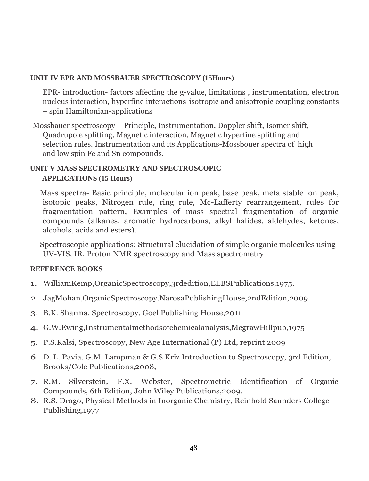# **UNIT IV EPR AND MOSSBAUER SPECTROSCOPY (15Hours)**

EPR- introduction- factors affecting the g-value, limitations , instrumentation, electron nucleus interaction, hyperfine interactions-isotropic and anisotropic coupling constants – spin Hamiltonian-applications

Mossbauer spectroscopy – Principle, Instrumentation, Doppler shift, Isomer shift, Quadrupole splitting, Magnetic interaction, Magnetic hyperfine splitting and selection rules. Instrumentation and its Applications-Mossbouer spectra of high and low spin Fe and Sn compounds.

# **UNIT V MASS SPECTROMETRY AND SPECTROSCOPIC APPLICATIONS (15 Hours)**

Mass spectra- Basic principle, molecular ion peak, base peak, meta stable ion peak, isotopic peaks, Nitrogen rule, ring rule, Mc-Lafferty rearrangement, rules for fragmentation pattern, Examples of mass spectral fragmentation of organic compounds (alkanes, aromatic hydrocarbons, alkyl halides, aldehydes, ketones, alcohols, acids and esters).

Spectroscopic applications: Structural elucidation of simple organic molecules using UV-VIS, IR, Proton NMR spectroscopy and Mass spectrometry

- 1. WilliamKemp,OrganicSpectroscopy,3rdedition,ELBSPublications,1975.
- 2. JagMohan,OrganicSpectroscopy,NarosaPublishingHouse,2ndEdition,2009.
- 3. B.K. Sharma, Spectroscopy, Goel Publishing House,2011
- 4. G.W.Ewing,Instrumentalmethodsofchemicalanalysis,McgrawHillpub,1975
- 5. P.S.Kalsi, Spectroscopy, New Age International (P) Ltd, reprint 2009
- 6. D. L. Pavia, G.M. Lampman & G.S.Kriz Introduction to Spectroscopy, 3rd Edition, Brooks/Cole Publications,2008,
- 7. R.M. Silverstein, F.X. Webster, Spectrometric Identification of Organic Compounds, 6th Edition, John Wiley Publications,2009.
- 8. R.S. Drago, Physical Methods in Inorganic Chemistry, Reinhold Saunders College Publishing,1977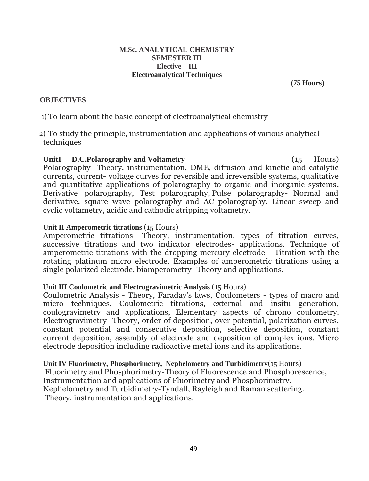#### **M.Sc. ANALYTICAL CHEMISTRY SEMESTER III Elective – III Electroanalytical Techniques**

**(75 Hours)**

## **OBJECTIVES**

1) To learn about the basic concept of electroanalytical chemistry

2) To study the principle, instrumentation and applications of various analytical techniques

UnitI **D.C.Polarography** and Voltametry (15 Hours) Polarography- Theory, instrumentation, DME, diffusion and kinetic and catalytic currents, current- voltage curves for reversible and irreversible systems, qualitative and quantitative applications of polarography to organic and inorganic systems. Derivative polarography, Test polarography, Pulse polarography- Normal and derivative, square wave polarography and AC polarography. Linear sweep and cyclic voltametry, acidic and cathodic stripping voltametry.

### **Unit II Amperometric titrations** (15 Hours)

Amperometric titrations- Theory, instrumentation, types of titration curves, successive titrations and two indicator electrodes- applications. Technique of amperometric titrations with the dropping mercury electrode - Titration with the rotating platinum micro electrode. Examples of amperometric titrations using a single polarized electrode, biamperometry- Theory and applications.

#### **Unit III Coulometric and Electrogravimetric Analysis** (15 Hours)

Coulometric Analysis - Theory, Faraday's laws, Coulometers - types of macro and micro techniques, Coulometric titrations, external and insitu generation, coulogravimetry and applications, Elementary aspects of chrono coulometry. Electrogravimetry- Theory, order of deposition, over potential, polarization curves, constant potential and consecutive deposition, selective deposition, constant current deposition, assembly of electrode and deposition of complex ions. Micro electrode deposition including radioactive metal ions and its applications.

#### **Unit IV Fluorimetry, Phosphorimetry, Nephelometry and Turbidimetry**(15 Hours)

Fluorimetry and Phosphorimetry-Theory of Fluorescence and Phosphorescence, Instrumentation and applications of Fluorimetry and Phosphorimetry. Nephelometry and Turbidimetry-Tyndall, Rayleigh and Raman scattering. Theory, instrumentation and applications.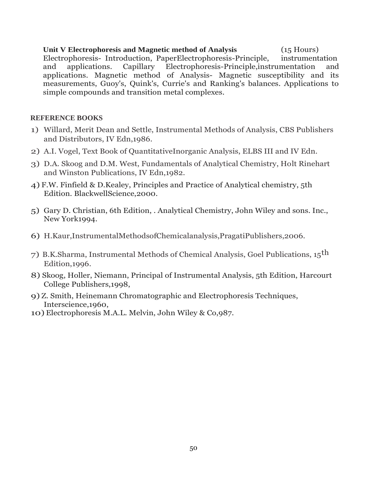#### **Unit V Electrophoresis and Magnetic method of Analysis** (15 Hours)

Electrophoresis- Introduction, PaperElectrophoresis-Principle, instrumentation and applications. Capillary Electrophoresis-Principle,instrumentation and applications. Magnetic method of Analysis- Magnetic susceptibility and its measurements, Guoy's, Quink's, Currie's and Ranking's balances. Applications to simple compounds and transition metal complexes.

- 1) Willard, Merit Dean and Settle, Instrumental Methods of Analysis, CBS Publishers and Distributors, IV Edn,1986.
- 2) A.I. Vogel, Text Book of QuantitativeInorganic Analysis, ELBS III and IV Edn.
- 3) D.A. Skoog and D.M. West, Fundamentals of Analytical Chemistry, Holt Rinehart and Winston Publications, IV Edn,1982.
- 4) F.W. Finfield & D.Kealey, Principles and Practice of Analytical chemistry, 5th Edition. BlackwellScience,2000.
- 5) Gary D. Christian, 6th Edition, . Analytical Chemistry, John Wiley and sons. Inc., New York1994.
- 6) H.Kaur,InstrumentalMethodsofChemicalanalysis,PragatiPublishers,2006.
- 7) B.K.Sharma, Instrumental Methods of Chemical Analysis, Goel Publications, 15th Edition,1996.
- 8) Skoog, Holler, Niemann, Principal of Instrumental Analysis, 5th Edition, Harcourt College Publishers,1998,
- 9) Z. Smith, Heinemann Chromatographic and Electrophoresis Techniques, Interscience,1960,
- 10) Electrophoresis M.A.L. Melvin, John Wiley & Co,987.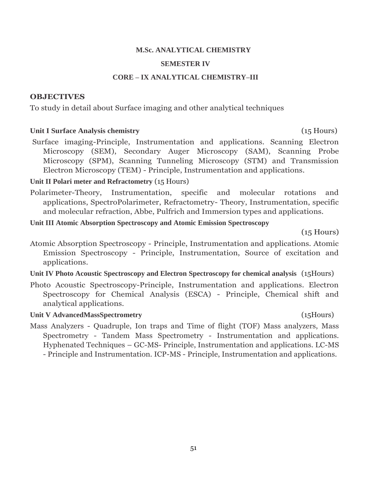#### **M.Sc. ANALYTICAL CHEMISTRY**

#### **SEMESTER IV**

#### **CORE – IX ANALYTICAL CHEMISTRY–III**

#### **OBJECTIVES**

To study in detail about Surface imaging and other analytical techniques

#### **Unit I Surface Analysis chemistry** (15 Hours)

Surface imaging-Principle, Instrumentation and applications. Scanning Electron Microscopy (SEM), Secondary Auger Microscopy (SAM), Scanning Probe Microscopy (SPM), Scanning Tunneling Microscopy (STM) and Transmission Electron Microscopy (TEM) - Principle, Instrumentation and applications.

#### **Unit II Polari meter and Refractometry** (15 Hours)

- Polarimeter-Theory, Instrumentation, specific and molecular rotations and applications, SpectroPolarimeter, Refractometry- Theory, Instrumentation, specific and molecular refraction, Abbe, Pulfrich and Immersion types and applications.
- **Unit III Atomic Absorption Spectroscopy and Atomic Emission Spectroscopy**

(15 Hours)

- Atomic Absorption Spectroscopy Principle, Instrumentation and applications. Atomic Emission Spectroscopy - Principle, Instrumentation, Source of excitation and applications.
- **Unit IV Photo Acoustic Spectroscopy and Electron Spectroscopy for chemical analysis** (15Hours)
- Photo Acoustic Spectroscopy-Principle, Instrumentation and applications. Electron Spectroscopy for Chemical Analysis (ESCA) - Principle, Chemical shift and analytical applications.

# Unit V AdvancedMassSpectrometry (15Hours)

Mass Analyzers - Quadruple, Ion traps and Time of flight (TOF) Mass analyzers, Mass Spectrometry - Tandem Mass Spectrometry - Instrumentation and applications. Hyphenated Techniques – GC-MS- Principle, Instrumentation and applications. LC-MS - Principle and Instrumentation. ICP-MS - Principle, Instrumentation and applications.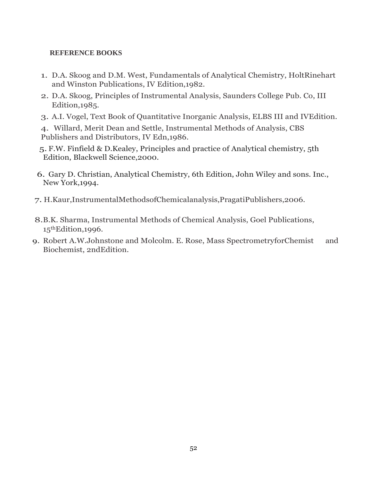# **REFERENCE BOOKS**

- 1. D.A. Skoog and D.M. West, Fundamentals of Analytical Chemistry, HoltRinehart and Winston Publications, IV Edition,1982.
- 2. D.A. Skoog, Principles of Instrumental Analysis, Saunders College Pub. Co, III Edition,1985.
- 3. A.I. Vogel, Text Book of Quantitative Inorganic Analysis, ELBS III and IVEdition.

4. Willard, Merit Dean and Settle, Instrumental Methods of Analysis, CBS Publishers and Distributors, IV Edn,1986.

- 5. F.W. Finfield & D.Kealey, Principles and practice of Analytical chemistry, 5th Edition, Blackwell Science,2000.
- 6. Gary D. Christian, Analytical Chemistry, 6th Edition, John Wiley and sons. Inc., New York,1994.
- 7. H.Kaur,InstrumentalMethodsofChemicalanalysis,PragatiPublishers,2006.
- 8.B.K. Sharma, Instrumental Methods of Chemical Analysis, Goel Publications, 15thEdition,1996.
- 9. Robert A.W.Johnstone and Molcolm. E. Rose, Mass SpectrometryforChemist and Biochemist, 2ndEdition.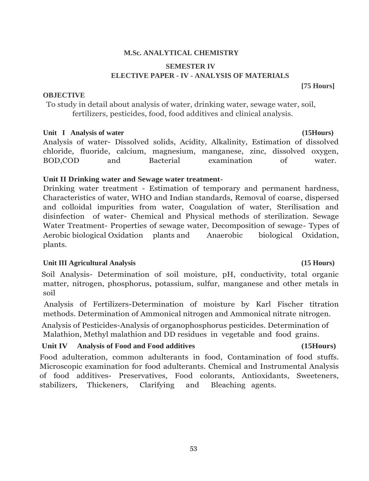# **M.Sc. ANALYTICAL CHEMISTRY**

# **SEMESTER IV ELECTIVE PAPER - IV - ANALYSIS OF MATERIALS**

#### **OBJECTIVE**

To study in detail about analysis of water, drinking water, sewage water, soil, fertilizers, pesticides, food, food additives and clinical analysis.

# Unit I Analysis of water **(15Hours)**

Analysis of water- Dissolved solids, Acidity, Alkalinity, Estimation of dissolved chloride, fluoride, calcium, magnesium, manganese, zinc, dissolved oxygen, BOD,COD and Bacterial examination of water.

# **Unit II Drinking water and Sewage water treatment-**

Drinking water treatment - Estimation of temporary and permanent hardness, Characteristics of water, WHO and Indian standards, Removal of coarse, dispersed and colloidal impurities from water, Coagulation of water, Sterilisation and disinfection of water- Chemical and Physical methods of sterilization. Sewage Water Treatment- Properties of sewage water, Decomposition of sewage- Types of Aerobic biological Oxidation plants and Anaerobic biological Oxidation, plants.

# **Unit III Agricultural Analysis (15 Hours)**

Soil Analysis- Determination of soil moisture, pH, conductivity, total organic matter, nitrogen, phosphorus, potassium, sulfur, manganese and other metals in soil

Analysis of Fertilizers-Determination of moisture by Karl Fischer titration methods. Determination of Ammonical nitrogen and Ammonical nitrate nitrogen.

Analysis of Pesticides-Analysis of organophosphorus pesticides. Determination of Malathion, Methyl malathion and DD residues in vegetable and food grains.

# **Unit IV Analysis of Food and Food additives (15Hours)**

Food adulteration, common adulterants in food, Contamination of food stuffs. Microscopic examination for food adulterants. Chemical and Instrumental Analysis of food additives- Preservatives, Food colorants, Antioxidants, Sweeteners, stabilizers, Thickeners, Clarifying and Bleaching agents.

# **[75 Hours]**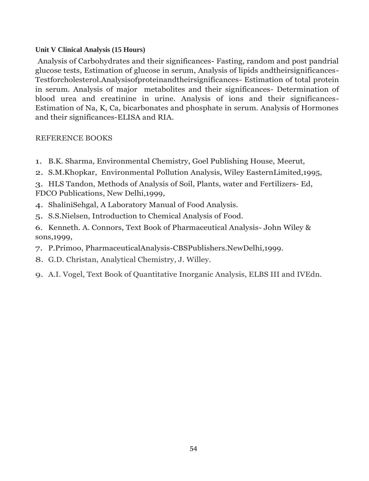# **Unit V Clinical Analysis (15 Hours)**

Analysis of Carbohydrates and their significances- Fasting, random and post pandrial glucose tests, Estimation of glucose in serum, Analysis of lipids andtheirsignificances-Testforcholesterol.Analysisofproteinandtheirsignificances- Estimation of total protein in serum. Analysis of major metabolites and their significances- Determination of blood urea and creatinine in urine. Analysis of ions and their significances-Estimation of Na, K, Ca, bicarbonates and phosphate in serum. Analysis of Hormones and their significances-ELISA and RIA.

- 1. B.K. Sharma, Environmental Chemistry, Goel Publishing House, Meerut,
- 2. S.M.Khopkar, Environmental Pollution Analysis, Wiley EasternLimited,1995,
- 3. HLS Tandon, Methods of Analysis of Soil, Plants, water and Fertilizers- Ed, FDCO Publications, New Delhi,1999,
- 4. ShaliniSehgal, A Laboratory Manual of Food Analysis.
- 5. S.S.Nielsen, Introduction to Chemical Analysis of Food.
- 6. Kenneth. A. Connors, Text Book of Pharmaceutical Analysis- John Wiley & sons,1999,
- 7. P.Primoo, PharmaceuticalAnalysis-CBSPublishers.NewDelhi,1999.
- 8. G.D. Christan, Analytical Chemistry, J. Willey.
- 9. A.I. Vogel, Text Book of Quantitative Inorganic Analysis, ELBS III and IVEdn.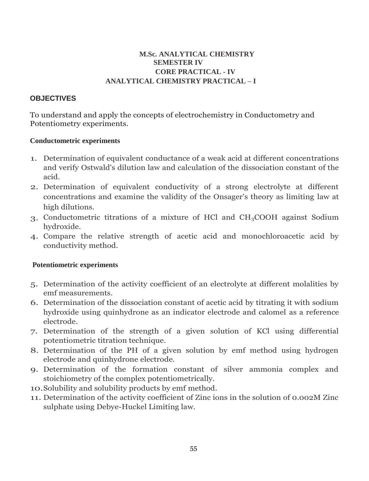# **M.Sc. ANALYTICAL CHEMISTRY SEMESTER IV CORE PRACTICAL - IV ANALYTICAL CHEMISTRY PRACTICAL – I**

# **OBJECTIVES**

To understand and apply the concepts of electrochemistry in Conductometry and Potentiometry experiments.

### **Conductometric experiments**

- 1. Determination of equivalent conductance of a weak acid at different concentrations and verify Ostwald's dilution law and calculation of the dissociation constant of the acid.
- 2. Determination of equivalent conductivity of a strong electrolyte at different concentrations and examine the validity of the Onsager's theory as limiting law at high dilutions.
- 3. Conductometric titrations of a mixture of HCl and CH3COOH against Sodium hydroxide.
- 4. Compare the relative strength of acetic acid and monochloroacetic acid by conductivity method.

# **Potentiometric experiments**

- 5. Determination of the activity coefficient of an electrolyte at different molalities by emf measurements.
- 6. Determination of the dissociation constant of acetic acid by titrating it with sodium hydroxide using quinhydrone as an indicator electrode and calomel as a reference electrode.
- 7. Determination of the strength of a given solution of KCl using differential potentiometric titration technique.
- 8. Determination of the PH of a given solution by emf method using hydrogen electrode and quinhydrone electrode.
- 9. Determination of the formation constant of silver ammonia complex and stoichiometry of the complex potentiometrically.
- 10.Solubility and solubility products by emf method.
- 11. Determination of the activity coefficient of Zinc ions in the solution of 0.002M Zinc sulphate using Debye-Huckel Limiting law.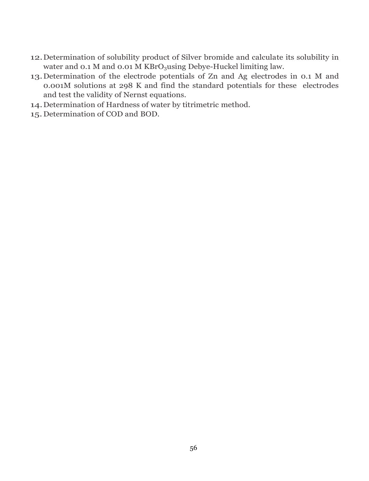- 12.Determination of solubility product of Silver bromide and calculate its solubility in water and 0.1 M and 0.01 M KBrO<sub>3</sub>using Debye-Huckel limiting law.
- 13.Determination of the electrode potentials of Zn and Ag electrodes in 0.1 M and 0.001M solutions at 298 K and find the standard potentials for these electrodes and test the validity of Nernst equations.
- 14.Determination of Hardness of water by titrimetric method.
- 15.Determination of COD and BOD.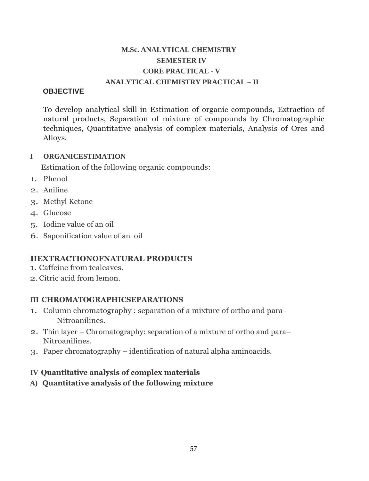# **M.Sc. ANALYTICAL CHEMISTRY SEMESTER IV CORE PRACTICAL - V ANALYTICAL CHEMISTRY PRACTICAL – II**

# **OBJECTIVE**

To develop analytical skill in Estimation of organic compounds, Extraction of natural products, Separation of mixture of compounds by Chromatographic techniques, Quantitative analysis of complex materials, Analysis of Ores and Alloys.

# **I ORGANICESTIMATION**

Estimation of the following organic compounds:

- 1. Phenol
- 2. Aniline
- 3. Methyl Ketone
- 4. Glucose
- 5. Iodine value of an oil
- 6. Saponification value of an oil

# **IIEXTRACTIONOFNATURAL PRODUCTS**

- 1. Caffeine from tealeaves.
- 2.Citric acid from lemon.

# **III CHROMATOGRAPHICSEPARATIONS**

- 1. Column chromatography : separation of a mixture of ortho and para-Nitroanilines.
- 2. Thin layer Chromatography: separation of a mixture of ortho and para– Nitroanilines.
- 3. Paper chromatography identification of natural alpha aminoacids.

# **IV Quantitative analysis of complex materials**

**A) Quantitative analysis of the following mixture**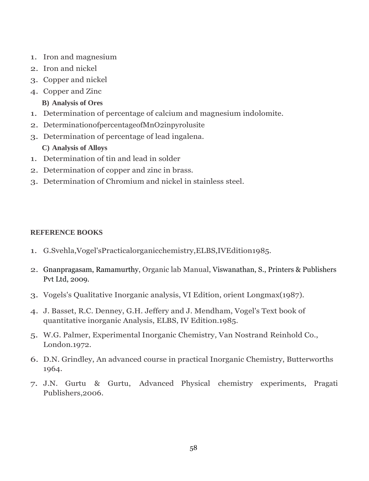- 1. Iron and magnesium
- 2. Iron and nickel
- 3. Copper and nickel
- 4. Copper and Zinc
	- **B) Analysis of Ores**
- 1. Determination of percentage of calcium and magnesium indolomite.
- 2. DeterminationofpercentageofMnO2inpyrolusite
- 3. Determination of percentage of lead ingalena. **C) Analysis of Alloys**
- 1. Determination of tin and lead in solder
- 2. Determination of copper and zinc in brass.
- 3. Determination of Chromium and nickel in stainless steel.

- 1. G.Svehla,Vogel'sPracticalorganicchemistry,ELBS,IVEdition1985.
- 2. [Gnanpragasam,](https://www.amazon.in/s/ref=dp_byline_sr_book_1?ie=UTF8&field-author=Dr.+N.S.+Gnanpragasam&search-alias=stripbooks) Ramamurthy, Organic lab Manual, Viswanathan, S., Printers & Publishers Pvt Ltd, 2009.
- 3. Vogels's Qualitative Inorganic analysis, VI Edition, orient Longmax(1987).
- 4. J. Basset, R.C. Denney, G.H. Jeffery and J. Mendham, Vogel's Text book of quantitative inorganic Analysis, ELBS, IV Edition.1985.
- 5. W.G. Palmer, Experimental Inorganic Chemistry, Van Nostrand Reinhold Co., London.1972.
- 6. D.N. Grindley, An advanced course in practical Inorganic Chemistry, Butterworths 1964.
- 7. J.N. Gurtu & Gurtu, Advanced Physical chemistry experiments, Pragati Publishers,2006.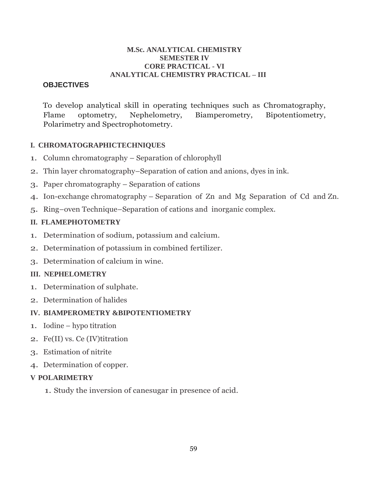#### **M.Sc. ANALYTICAL CHEMISTRY SEMESTER IV CORE PRACTICAL - VI ANALYTICAL CHEMISTRY PRACTICAL – III**

# **OBJECTIVES**

To develop analytical skill in operating techniques such as Chromatography, Flame optometry, Nephelometry, Biamperometry, Bipotentiometry, Polarimetry and Spectrophotometry.

# **I. CHROMATOGRAPHICTECHNIQUES**

- 1. Column chromatography Separation of chlorophyll
- 2. Thin layer chromatography–Separation of cation and anions, dyes in ink.
- 3. Paper chromatography Separation of cations
- 4. Ion-exchange chromatography Separation of Zn and Mg Separation of Cd and Zn.
- 5. Ring–oven Technique–Separation of cations and inorganic complex.

# **II. FLAMEPHOTOMETRY**

- 1. Determination of sodium, potassium and calcium.
- 2. Determination of potassium in combined fertilizer.
- 3. Determination of calcium in wine.

# **III. NEPHELOMETRY**

- 1. Determination of sulphate.
- 2. Determination of halides

# **IV. BIAMPEROMETRY &BIPOTENTIOMETRY**

- 1. Iodine hypo titration
- 2. Fe(II) vs. Ce (IV)titration
- 3. Estimation of nitrite
- 4. Determination of copper.

# **V POLARIMETRY**

1. Study the inversion of canesugar in presence of acid.